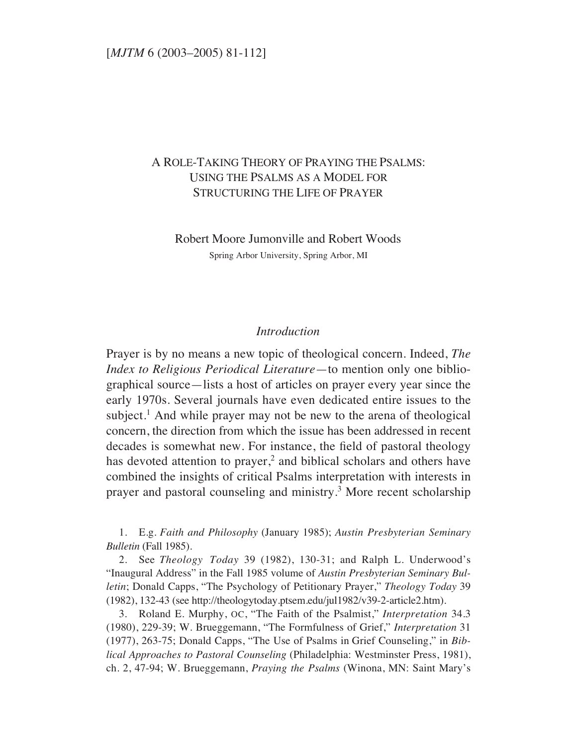# A ROLE-TAKING THEORY OF PRAYING THE PSALMS: USING THE PSALMS AS A MODEL FOR STRUCTURING THE LIFE OF PRAYER

Robert Moore Jumonville and Robert Woods Spring Arbor University, Spring Arbor, MI

### *Introduction*

Prayer is by no means a new topic of theological concern. Indeed, *The Index to Religious Periodical Literature*—to mention only one bibliographical source—lists a host of articles on prayer every year since the early 1970s. Several journals have even dedicated entire issues to the subject.<sup>1</sup> And while prayer may not be new to the arena of theological concern, the direction from which the issue has been addressed in recent decades is somewhat new. For instance, the field of pastoral theology has devoted attention to prayer,<sup>2</sup> and biblical scholars and others have combined the insights of critical Psalms interpretation with interests in prayer and pastoral counseling and ministry.3 More recent scholarship

1. E.g. *Faith and Philosophy* (January 1985); *Austin Presbyterian Seminary Bulletin* (Fall 1985).

2. See *Theology Today* 39 (1982), 130-31; and Ralph L. Underwood's "Inaugural Address" in the Fall 1985 volume of *Austin Presbyterian Seminary Bulletin*; Donald Capps, "The Psychology of Petitionary Prayer," *Theology Today* 39 (1982), 132-43 (see http://theologytoday.ptsem.edu/jul1982/v39-2-article2.htm).

3. Roland E. Murphy, OC, "The Faith of the Psalmist," *Interpretation* 34.3 (1980), 229-39; W. Brueggemann, "The Formfulness of Grief," *Interpretation* 31 (1977), 263-75; Donald Capps, "The Use of Psalms in Grief Counseling," in *Biblical Approaches to Pastoral Counseling* (Philadelphia: Westminster Press, 1981), ch. 2, 47-94; W. Brueggemann, *Praying the Psalms* (Winona, MN: Saint Mary's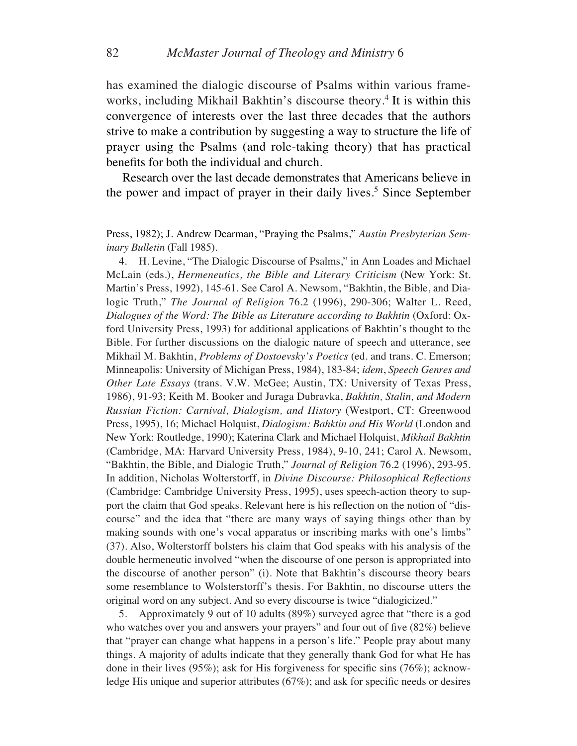has examined the dialogic discourse of Psalms within various frameworks, including Mikhail Bakhtin's discourse theory.<sup>4</sup> It is within this convergence of interests over the last three decades that the authors strive to make a contribution by suggesting a way to structure the life of prayer using the Psalms (and role-taking theory) that has practical benefits for both the individual and church.

Research over the last decade demonstrates that Americans believe in the power and impact of prayer in their daily lives.<sup>5</sup> Since September

Press, 1982); J. Andrew Dearman, "Praying the Psalms," *Austin Presbyterian Seminary Bulletin* (Fall 1985).

4. H. Levine, "The Dialogic Discourse of Psalms," in Ann Loades and Michael McLain (eds.), *Hermeneutics, the Bible and Literary Criticism* (New York: St. Martin's Press, 1992), 145-61. See Carol A. Newsom, "Bakhtin, the Bible, and Dialogic Truth," *The Journal of Religion* 76.2 (1996), 290-306; Walter L. Reed, *Dialogues of the Word: The Bible as Literature according to Bakhtin* (Oxford: Oxford University Press, 1993) for additional applications of Bakhtin's thought to the Bible. For further discussions on the dialogic nature of speech and utterance, see Mikhail M. Bakhtin, *Problems of Dostoevsky's Poetics* (ed. and trans. C. Emerson; Minneapolis: University of Michigan Press, 1984), 183-84; *idem*, *Speech Genres and Other Late Essays* (trans. V.W. McGee; Austin, TX: University of Texas Press, 1986), 91-93; Keith M. Booker and Juraga Dubravka, *Bakhtin, Stalin, and Modern Russian Fiction: Carnival, Dialogism, and History* (Westport, CT: Greenwood Press, 1995), 16; Michael Holquist, *Dialogism: Bahktin and His World* (London and New York: Routledge, 1990); Katerina Clark and Michael Holquist, *Mikhail Bakhtin* (Cambridge, MA: Harvard University Press, 1984), 9-10, 241; Carol A. Newsom, "Bakhtin, the Bible, and Dialogic Truth," *Journal of Religion* 76.2 (1996), 293-95. In addition, Nicholas Wolterstorff, in *Divine Discourse: Philosophical Reflections* (Cambridge: Cambridge University Press, 1995), uses speech-action theory to support the claim that God speaks. Relevant here is his reflection on the notion of "discourse" and the idea that "there are many ways of saying things other than by making sounds with one's vocal apparatus or inscribing marks with one's limbs" (37). Also, Wolterstorff bolsters his claim that God speaks with his analysis of the double hermeneutic involved "when the discourse of one person is appropriated into the discourse of another person" (i). Note that Bakhtin's discourse theory bears some resemblance to Wolsterstorff's thesis. For Bakhtin, no discourse utters the original word on any subject. And so every discourse is twice "dialogicized."

5. Approximately 9 out of 10 adults (89%) surveyed agree that "there is a god who watches over you and answers your prayers" and four out of five (82%) believe that "prayer can change what happens in a person's life." People pray about many things. A majority of adults indicate that they generally thank God for what He has done in their lives (95%); ask for His forgiveness for specific sins (76%); acknowledge His unique and superior attributes (67%); and ask for specific needs or desires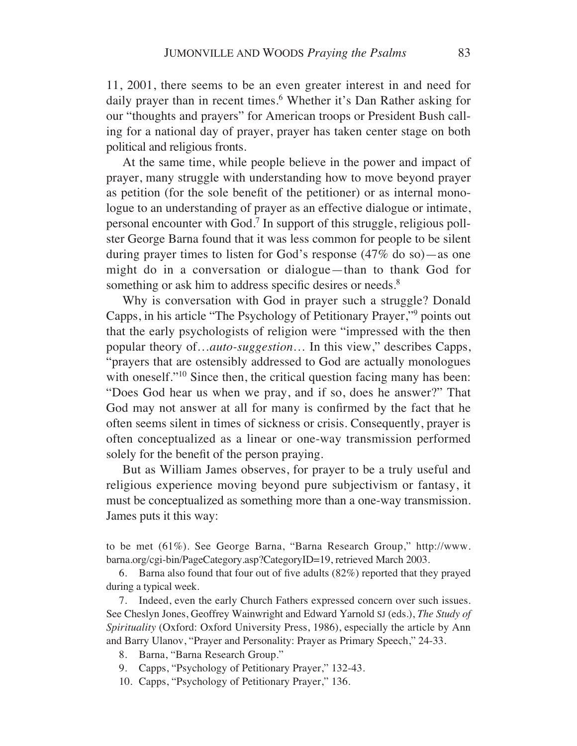11, 2001, there seems to be an even greater interest in and need for daily prayer than in recent times.<sup>6</sup> Whether it's Dan Rather asking for our "thoughts and prayers" for American troops or President Bush calling for a national day of prayer, prayer has taken center stage on both political and religious fronts.

At the same time, while people believe in the power and impact of prayer, many struggle with understanding how to move beyond prayer as petition (for the sole benefit of the petitioner) or as internal monologue to an understanding of prayer as an effective dialogue or intimate, personal encounter with God.<sup>7</sup> In support of this struggle, religious pollster George Barna found that it was less common for people to be silent during prayer times to listen for God's response (47% do so)—as one might do in a conversation or dialogue—than to thank God for something or ask him to address specific desires or needs.<sup>8</sup>

Why is conversation with God in prayer such a struggle? Donald Capps, in his article "The Psychology of Petitionary Prayer,"9 points out that the early psychologists of religion were "impressed with the then popular theory of…*auto-suggestion*… In this view," describes Capps, "prayers that are ostensibly addressed to God are actually monologues with oneself."<sup>10</sup> Since then, the critical question facing many has been: "Does God hear us when we pray, and if so, does he answer?" That God may not answer at all for many is confirmed by the fact that he often seems silent in times of sickness or crisis. Consequently, prayer is often conceptualized as a linear or one-way transmission performed solely for the benefit of the person praying.

But as William James observes, for prayer to be a truly useful and religious experience moving beyond pure subjectivism or fantasy, it must be conceptualized as something more than a one-way transmission. James puts it this way:

to be met (61%). See George Barna, "Barna Research Group," http://www. barna.org/cgi-bin/PageCategory.asp?CategoryID=19, retrieved March 2003.

6. Barna also found that four out of five adults (82%) reported that they prayed during a typical week.

7. Indeed, even the early Church Fathers expressed concern over such issues. See Cheslyn Jones, Geoffrey Wainwright and Edward Yarnold SJ (eds.), *The Study of Spirituality* (Oxford: Oxford University Press, 1986), especially the article by Ann and Barry Ulanov, "Prayer and Personality: Prayer as Primary Speech," 24-33.

- 8. Barna, "Barna Research Group."
- 9. Capps, "Psychology of Petitionary Prayer," 132-43.
- 10. Capps, "Psychology of Petitionary Prayer," 136.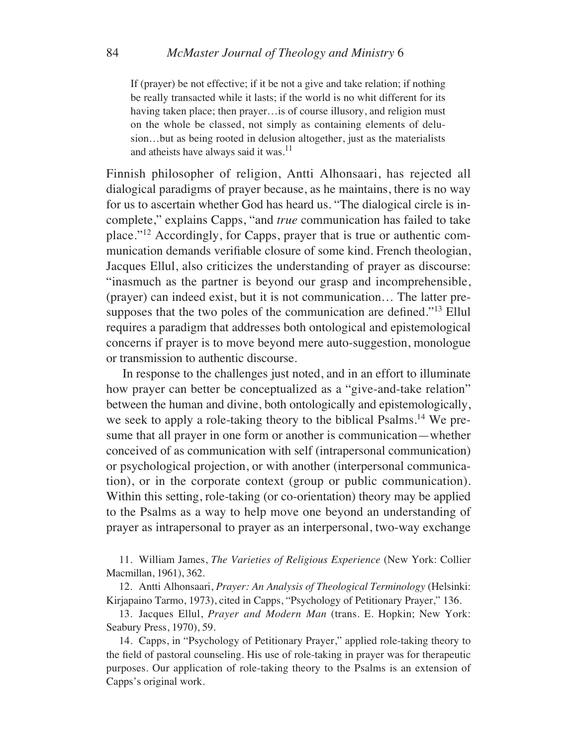If (prayer) be not effective; if it be not a give and take relation; if nothing be really transacted while it lasts; if the world is no whit different for its having taken place; then prayer…is of course illusory, and religion must on the whole be classed, not simply as containing elements of delusion…but as being rooted in delusion altogether, just as the materialists and atheists have always said it was. $11$ 

Finnish philosopher of religion, Antti Alhonsaari, has rejected all dialogical paradigms of prayer because, as he maintains, there is no way for us to ascertain whether God has heard us. "The dialogical circle is incomplete," explains Capps, "and *true* communication has failed to take place."12 Accordingly, for Capps, prayer that is true or authentic communication demands verifiable closure of some kind. French theologian, Jacques Ellul, also criticizes the understanding of prayer as discourse: "inasmuch as the partner is beyond our grasp and incomprehensible, (prayer) can indeed exist, but it is not communication… The latter presupposes that the two poles of the communication are defined."13 Ellul requires a paradigm that addresses both ontological and epistemological concerns if prayer is to move beyond mere auto-suggestion, monologue or transmission to authentic discourse.

In response to the challenges just noted, and in an effort to illuminate how prayer can better be conceptualized as a "give-and-take relation" between the human and divine, both ontologically and epistemologically, we seek to apply a role-taking theory to the biblical Psalms.<sup>14</sup> We presume that all prayer in one form or another is communication—whether conceived of as communication with self (intrapersonal communication) or psychological projection, or with another (interpersonal communication), or in the corporate context (group or public communication). Within this setting, role-taking (or co-orientation) theory may be applied to the Psalms as a way to help move one beyond an understanding of prayer as intrapersonal to prayer as an interpersonal, two-way exchange

11. William James, *The Varieties of Religious Experience* (New York: Collier Macmillan, 1961), 362.

12. Antti Alhonsaari, *Prayer: An Analysis of Theological Terminology* (Helsinki: Kirjapaino Tarmo, 1973), cited in Capps, "Psychology of Petitionary Prayer," 136.

13. Jacques Ellul, *Prayer and Modern Man* (trans. E. Hopkin; New York: Seabury Press, 1970), 59.

14. Capps, in "Psychology of Petitionary Prayer," applied role-taking theory to the field of pastoral counseling. His use of role-taking in prayer was for therapeutic purposes. Our application of role-taking theory to the Psalms is an extension of Capps's original work.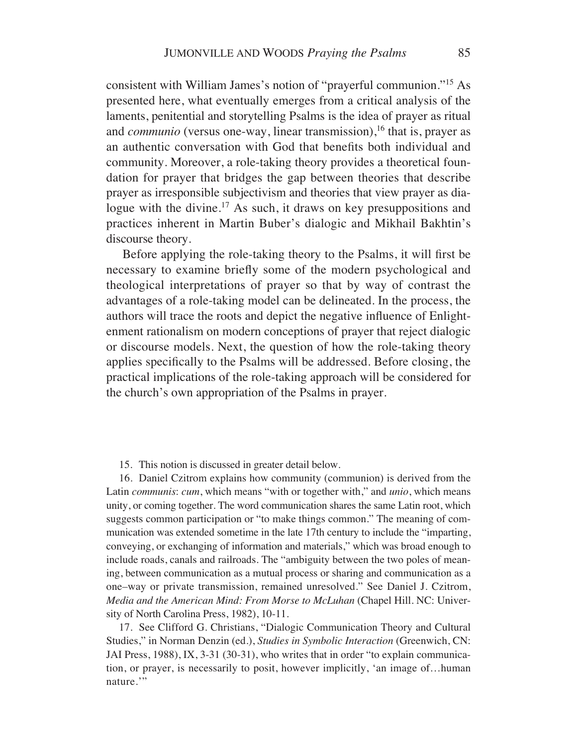consistent with William James's notion of "prayerful communion."15 As presented here, what eventually emerges from a critical analysis of the laments, penitential and storytelling Psalms is the idea of prayer as ritual and *communio* (versus one-way, linear transmission),<sup>16</sup> that is, prayer as an authentic conversation with God that benefits both individual and community. Moreover, a role-taking theory provides a theoretical foundation for prayer that bridges the gap between theories that describe prayer as irresponsible subjectivism and theories that view prayer as dialogue with the divine.<sup>17</sup> As such, it draws on key presuppositions and practices inherent in Martin Buber's dialogic and Mikhail Bakhtin's discourse theory.

Before applying the role-taking theory to the Psalms, it will first be necessary to examine briefly some of the modern psychological and theological interpretations of prayer so that by way of contrast the advantages of a role-taking model can be delineated. In the process, the authors will trace the roots and depict the negative influence of Enlightenment rationalism on modern conceptions of prayer that reject dialogic or discourse models. Next, the question of how the role-taking theory applies specifically to the Psalms will be addressed. Before closing, the practical implications of the role-taking approach will be considered for the church's own appropriation of the Psalms in prayer.

15. This notion is discussed in greater detail below.

16. Daniel Czitrom explains how community (communion) is derived from the Latin *communis*: *cum*, which means "with or together with," and *unio*, which means unity, or coming together. The word communication shares the same Latin root, which suggests common participation or "to make things common." The meaning of communication was extended sometime in the late 17th century to include the "imparting, conveying, or exchanging of information and materials," which was broad enough to include roads, canals and railroads. The "ambiguity between the two poles of meaning, between communication as a mutual process or sharing and communication as a one–way or private transmission, remained unresolved." See Daniel J. Czitrom, *Media and the American Mind: From Morse to McLuhan* (Chapel Hill. NC: University of North Carolina Press, 1982), 10-11.

17. See Clifford G. Christians, "Dialogic Communication Theory and Cultural Studies," in Norman Denzin (ed.), *Studies in Symbolic Interaction* (Greenwich, CN: JAI Press, 1988), IX, 3-31 (30-31), who writes that in order "to explain communication, or prayer, is necessarily to posit, however implicitly, 'an image of…human nature."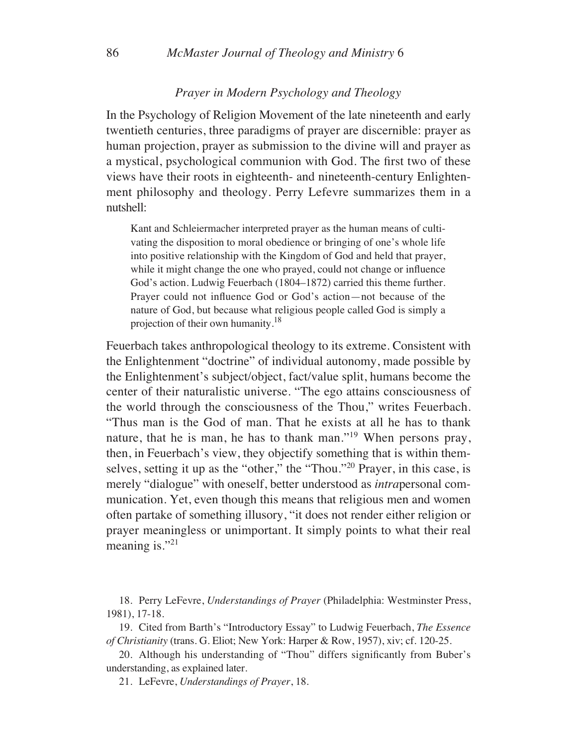#### *Prayer in Modern Psychology and Theology*

In the Psychology of Religion Movement of the late nineteenth and early twentieth centuries, three paradigms of prayer are discernible: prayer as human projection, prayer as submission to the divine will and prayer as a mystical, psychological communion with God. The first two of these views have their roots in eighteenth- and nineteenth-century Enlightenment philosophy and theology. Perry Lefevre summarizes them in a nutshell:

Kant and Schleiermacher interpreted prayer as the human means of cultivating the disposition to moral obedience or bringing of one's whole life into positive relationship with the Kingdom of God and held that prayer, while it might change the one who prayed, could not change or influence God's action. Ludwig Feuerbach (1804–1872) carried this theme further. Prayer could not influence God or God's action—not because of the nature of God, but because what religious people called God is simply a projection of their own humanity.<sup>18</sup>

Feuerbach takes anthropological theology to its extreme. Consistent with the Enlightenment "doctrine" of individual autonomy, made possible by the Enlightenment's subject/object, fact/value split, humans become the center of their naturalistic universe. "The ego attains consciousness of the world through the consciousness of the Thou," writes Feuerbach. "Thus man is the God of man. That he exists at all he has to thank nature, that he is man, he has to thank man."19 When persons pray, then, in Feuerbach's view, they objectify something that is within themselves, setting it up as the "other," the "Thou."20 Prayer, in this case, is merely "dialogue" with oneself, better understood as *intra*personal communication. Yet, even though this means that religious men and women often partake of something illusory, "it does not render either religion or prayer meaningless or unimportant. It simply points to what their real meaning is."<sup>21</sup>

18. Perry LeFevre, *Understandings of Prayer* (Philadelphia: Westminster Press, 1981), 17-18.

19. Cited from Barth's "Introductory Essay" to Ludwig Feuerbach, *The Essence of Christianity* (trans. G. Eliot; New York: Harper & Row, 1957), xiv; cf. 120-25.

20. Although his understanding of "Thou" differs significantly from Buber's understanding, as explained later.

21. LeFevre, *Understandings of Prayer*, 18.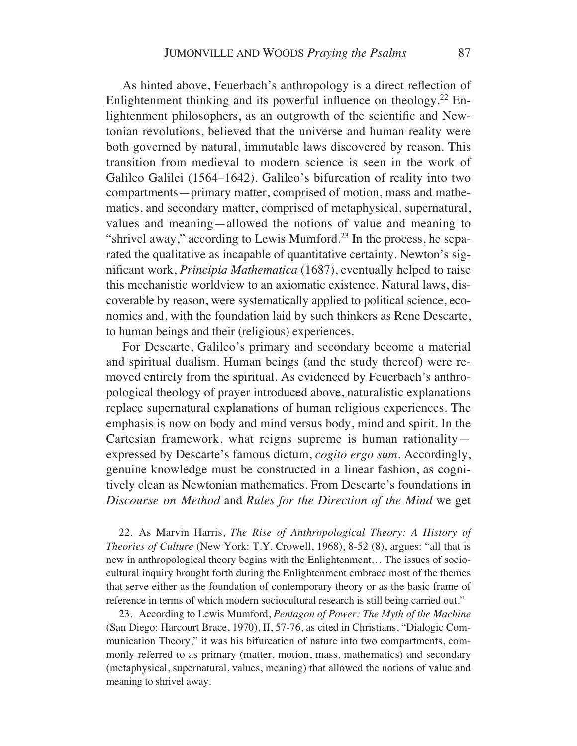As hinted above, Feuerbach's anthropology is a direct reflection of Enlightenment thinking and its powerful influence on theology.22 Enlightenment philosophers, as an outgrowth of the scientific and Newtonian revolutions, believed that the universe and human reality were both governed by natural, immutable laws discovered by reason. This transition from medieval to modern science is seen in the work of Galileo Galilei (1564–1642). Galileo's bifurcation of reality into two compartments—primary matter, comprised of motion, mass and mathematics, and secondary matter, comprised of metaphysical, supernatural, values and meaning—allowed the notions of value and meaning to "shrivel away," according to Lewis Mumford.<sup>23</sup> In the process, he separated the qualitative as incapable of quantitative certainty. Newton's significant work, *Principia Mathematica* (1687), eventually helped to raise this mechanistic worldview to an axiomatic existence. Natural laws, discoverable by reason, were systematically applied to political science, economics and, with the foundation laid by such thinkers as Rene Descarte, to human beings and their (religious) experiences.

For Descarte, Galileo's primary and secondary become a material and spiritual dualism. Human beings (and the study thereof) were removed entirely from the spiritual. As evidenced by Feuerbach's anthropological theology of prayer introduced above, naturalistic explanations replace supernatural explanations of human religious experiences. The emphasis is now on body and mind versus body, mind and spirit. In the Cartesian framework, what reigns supreme is human rationality expressed by Descarte's famous dictum, *cogito ergo sum*. Accordingly, genuine knowledge must be constructed in a linear fashion, as cognitively clean as Newtonian mathematics. From Descarte's foundations in *Discourse on Method* and *Rules for the Direction of the Mind* we get

22. As Marvin Harris, *The Rise of Anthropological Theory: A History of Theories of Culture* (New York: T.Y. Crowell, 1968), 8-52 (8), argues: "all that is new in anthropological theory begins with the Enlightenment… The issues of sociocultural inquiry brought forth during the Enlightenment embrace most of the themes that serve either as the foundation of contemporary theory or as the basic frame of reference in terms of which modern sociocultural research is still being carried out."

23. According to Lewis Mumford, *Pentagon of Power: The Myth of the Machine* (San Diego: Harcourt Brace, 1970), II, 57-76, as cited in Christians, "Dialogic Communication Theory," it was his bifurcation of nature into two compartments, commonly referred to as primary (matter, motion, mass, mathematics) and secondary (metaphysical, supernatural, values, meaning) that allowed the notions of value and meaning to shrivel away.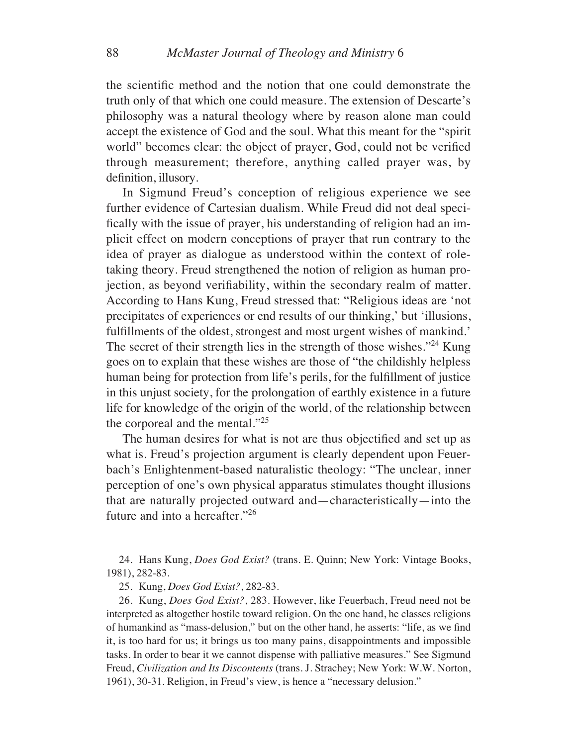the scientific method and the notion that one could demonstrate the truth only of that which one could measure. The extension of Descarte's philosophy was a natural theology where by reason alone man could accept the existence of God and the soul. What this meant for the "spirit world" becomes clear: the object of prayer, God, could not be verified through measurement; therefore, anything called prayer was, by definition, illusory.

In Sigmund Freud's conception of religious experience we see further evidence of Cartesian dualism. While Freud did not deal specifically with the issue of prayer, his understanding of religion had an implicit effect on modern conceptions of prayer that run contrary to the idea of prayer as dialogue as understood within the context of roletaking theory. Freud strengthened the notion of religion as human projection, as beyond verifiability, within the secondary realm of matter. According to Hans Kung, Freud stressed that: "Religious ideas are 'not precipitates of experiences or end results of our thinking,' but 'illusions, fulfillments of the oldest, strongest and most urgent wishes of mankind.' The secret of their strength lies in the strength of those wishes."<sup>24</sup> Kung goes on to explain that these wishes are those of "the childishly helpless human being for protection from life's perils, for the fulfillment of justice in this unjust society, for the prolongation of earthly existence in a future life for knowledge of the origin of the world, of the relationship between the corporeal and the mental."25

The human desires for what is not are thus objectified and set up as what is. Freud's projection argument is clearly dependent upon Feuerbach's Enlightenment-based naturalistic theology: "The unclear, inner perception of one's own physical apparatus stimulates thought illusions that are naturally projected outward and—characteristically—into the future and into a hereafter."26

24. Hans Kung, *Does God Exist?* (trans. E. Quinn; New York: Vintage Books, 1981), 282-83.

25. Kung, *Does God Exist?*, 282-83.

26. Kung, *Does God Exist?*, 283. However, like Feuerbach, Freud need not be interpreted as altogether hostile toward religion. On the one hand, he classes religions of humankind as "mass-delusion," but on the other hand, he asserts: "life, as we find it, is too hard for us; it brings us too many pains, disappointments and impossible tasks. In order to bear it we cannot dispense with palliative measures." See Sigmund Freud, *Civilization and Its Discontents* (trans. J. Strachey; New York: W.W. Norton, 1961), 30-31. Religion, in Freud's view, is hence a "necessary delusion."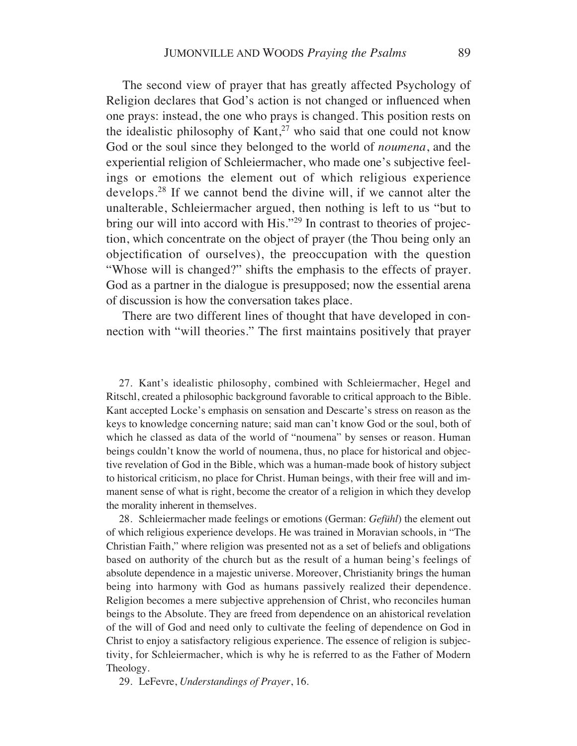The second view of prayer that has greatly affected Psychology of Religion declares that God's action is not changed or influenced when one prays: instead, the one who prays is changed. This position rests on the idealistic philosophy of  $Kant<sup>27</sup>$  who said that one could not know God or the soul since they belonged to the world of *noumena*, and the experiential religion of Schleiermacher, who made one's subjective feelings or emotions the element out of which religious experience develops.28 If we cannot bend the divine will, if we cannot alter the unalterable, Schleiermacher argued, then nothing is left to us "but to bring our will into accord with His."<sup>29</sup> In contrast to theories of projection, which concentrate on the object of prayer (the Thou being only an objectification of ourselves), the preoccupation with the question "Whose will is changed?" shifts the emphasis to the effects of prayer. God as a partner in the dialogue is presupposed; now the essential arena of discussion is how the conversation takes place.

There are two different lines of thought that have developed in connection with "will theories." The first maintains positively that prayer

27. Kant's idealistic philosophy, combined with Schleiermacher, Hegel and Ritschl, created a philosophic background favorable to critical approach to the Bible. Kant accepted Locke's emphasis on sensation and Descarte's stress on reason as the keys to knowledge concerning nature; said man can't know God or the soul, both of which he classed as data of the world of "noumena" by senses or reason. Human beings couldn't know the world of noumena, thus, no place for historical and objective revelation of God in the Bible, which was a human-made book of history subject to historical criticism, no place for Christ. Human beings, with their free will and immanent sense of what is right, become the creator of a religion in which they develop the morality inherent in themselves.

28. Schleiermacher made feelings or emotions (German: *Gefühl*) the element out of which religious experience develops. He was trained in Moravian schools, in "The Christian Faith," where religion was presented not as a set of beliefs and obligations based on authority of the church but as the result of a human being's feelings of absolute dependence in a majestic universe. Moreover, Christianity brings the human being into harmony with God as humans passively realized their dependence. Religion becomes a mere subjective apprehension of Christ, who reconciles human beings to the Absolute. They are freed from dependence on an ahistorical revelation of the will of God and need only to cultivate the feeling of dependence on God in Christ to enjoy a satisfactory religious experience. The essence of religion is subjectivity, for Schleiermacher, which is why he is referred to as the Father of Modern Theology.

29. LeFevre, *Understandings of Prayer*, 16.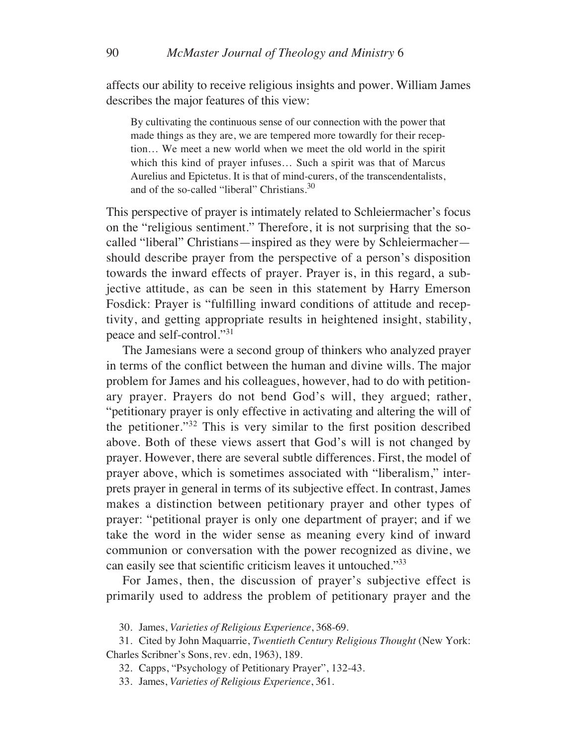affects our ability to receive religious insights and power. William James describes the major features of this view:

By cultivating the continuous sense of our connection with the power that made things as they are, we are tempered more towardly for their reception… We meet a new world when we meet the old world in the spirit which this kind of prayer infuses… Such a spirit was that of Marcus Aurelius and Epictetus. It is that of mind-curers, of the transcendentalists, and of the so-called "liberal" Christians.<sup>30</sup>

This perspective of prayer is intimately related to Schleiermacher's focus on the "religious sentiment." Therefore, it is not surprising that the socalled "liberal" Christians—inspired as they were by Schleiermacher should describe prayer from the perspective of a person's disposition towards the inward effects of prayer. Prayer is, in this regard, a subjective attitude, as can be seen in this statement by Harry Emerson Fosdick: Prayer is "fulfilling inward conditions of attitude and receptivity, and getting appropriate results in heightened insight, stability, peace and self-control."31

The Jamesians were a second group of thinkers who analyzed prayer in terms of the conflict between the human and divine wills. The major problem for James and his colleagues, however, had to do with petitionary prayer. Prayers do not bend God's will, they argued; rather, "petitionary prayer is only effective in activating and altering the will of the petitioner."32 This is very similar to the first position described above. Both of these views assert that God's will is not changed by prayer. However, there are several subtle differences. First, the model of prayer above, which is sometimes associated with "liberalism," interprets prayer in general in terms of its subjective effect. In contrast, James makes a distinction between petitionary prayer and other types of prayer: "petitional prayer is only one department of prayer; and if we take the word in the wider sense as meaning every kind of inward communion or conversation with the power recognized as divine, we can easily see that scientific criticism leaves it untouched."33

For James, then, the discussion of prayer's subjective effect is primarily used to address the problem of petitionary prayer and the

30. James, *Varieties of Religious Experience*, 368-69.

31. Cited by John Maquarrie, *Twentieth Century Religious Thought* (New York: Charles Scribner's Sons, rev. edn, 1963), 189.

32. Capps, "Psychology of Petitionary Prayer", 132-43.

33. James, *Varieties of Religious Experience*, 361.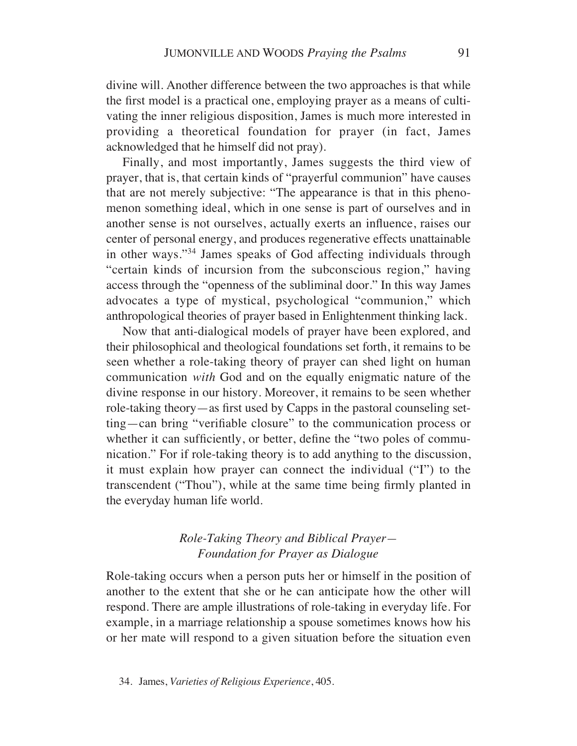divine will. Another difference between the two approaches is that while the first model is a practical one, employing prayer as a means of cultivating the inner religious disposition, James is much more interested in providing a theoretical foundation for prayer (in fact, James acknowledged that he himself did not pray).

Finally, and most importantly, James suggests the third view of prayer, that is, that certain kinds of "prayerful communion" have causes that are not merely subjective: "The appearance is that in this phenomenon something ideal, which in one sense is part of ourselves and in another sense is not ourselves, actually exerts an influence, raises our center of personal energy, and produces regenerative effects unattainable in other ways."34 James speaks of God affecting individuals through "certain kinds of incursion from the subconscious region," having access through the "openness of the subliminal door." In this way James advocates a type of mystical, psychological "communion," which anthropological theories of prayer based in Enlightenment thinking lack.

Now that anti-dialogical models of prayer have been explored, and their philosophical and theological foundations set forth, it remains to be seen whether a role-taking theory of prayer can shed light on human communication *with* God and on the equally enigmatic nature of the divine response in our history. Moreover, it remains to be seen whether role-taking theory—as first used by Capps in the pastoral counseling setting—can bring "verifiable closure" to the communication process or whether it can sufficiently, or better, define the "two poles of communication." For if role-taking theory is to add anything to the discussion, it must explain how prayer can connect the individual ("I") to the transcendent ("Thou"), while at the same time being firmly planted in the everyday human life world.

## *Role-Taking Theory and Biblical Prayer— Foundation for Prayer as Dialogue*

Role-taking occurs when a person puts her or himself in the position of another to the extent that she or he can anticipate how the other will respond. There are ample illustrations of role-taking in everyday life. For example, in a marriage relationship a spouse sometimes knows how his or her mate will respond to a given situation before the situation even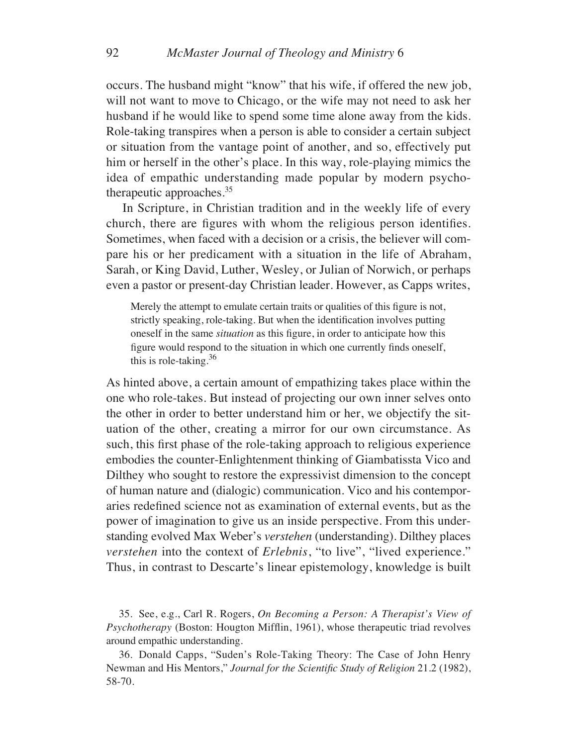occurs. The husband might "know" that his wife, if offered the new job, will not want to move to Chicago, or the wife may not need to ask her husband if he would like to spend some time alone away from the kids. Role-taking transpires when a person is able to consider a certain subject or situation from the vantage point of another, and so, effectively put him or herself in the other's place. In this way, role-playing mimics the idea of empathic understanding made popular by modern psychotherapeutic approaches.35

In Scripture, in Christian tradition and in the weekly life of every church, there are figures with whom the religious person identifies. Sometimes, when faced with a decision or a crisis, the believer will compare his or her predicament with a situation in the life of Abraham, Sarah, or King David, Luther, Wesley, or Julian of Norwich, or perhaps even a pastor or present-day Christian leader. However, as Capps writes,

Merely the attempt to emulate certain traits or qualities of this figure is not, strictly speaking, role-taking. But when the identification involves putting oneself in the same *situation* as this figure, in order to anticipate how this figure would respond to the situation in which one currently finds oneself, this is role-taking.<sup>36</sup>

As hinted above, a certain amount of empathizing takes place within the one who role-takes. But instead of projecting our own inner selves onto the other in order to better understand him or her, we objectify the situation of the other, creating a mirror for our own circumstance. As such, this first phase of the role-taking approach to religious experience embodies the counter-Enlightenment thinking of Giambatissta Vico and Dilthey who sought to restore the expressivist dimension to the concept of human nature and (dialogic) communication. Vico and his contemporaries redefined science not as examination of external events, but as the power of imagination to give us an inside perspective. From this understanding evolved Max Weber's *verstehen* (understanding). Dilthey places *verstehen* into the context of *Erlebnis*, "to live", "lived experience." Thus, in contrast to Descarte's linear epistemology, knowledge is built

35. See, e.g., Carl R. Rogers, *On Becoming a Person: A Therapist's View of Psychotherapy* (Boston: Hougton Mifflin, 1961), whose therapeutic triad revolves around empathic understanding.

36. Donald Capps, "Suden's Role-Taking Theory: The Case of John Henry Newman and His Mentors," *Journal for the Scientific Study of Religion* 21.2 (1982), 58-70.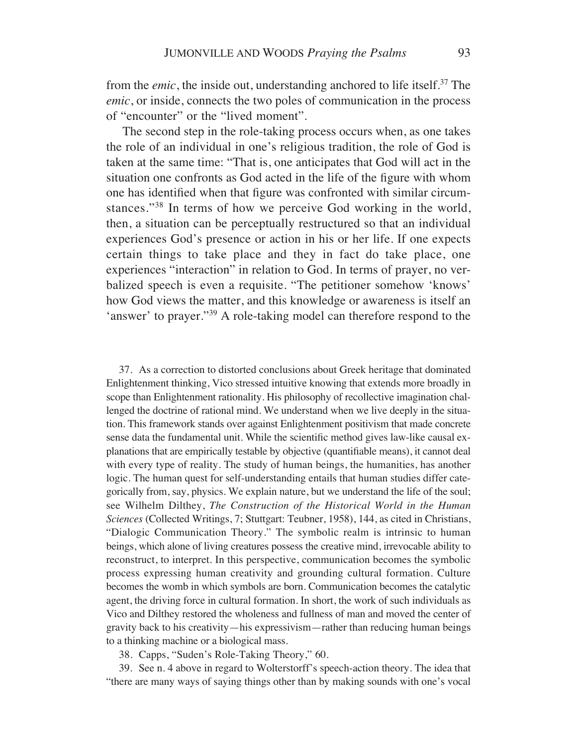from the *emic*, the inside out, understanding anchored to life itself.<sup>37</sup> The *emic*, or inside, connects the two poles of communication in the process of "encounter" or the "lived moment".

The second step in the role-taking process occurs when, as one takes the role of an individual in one's religious tradition, the role of God is taken at the same time: "That is, one anticipates that God will act in the situation one confronts as God acted in the life of the figure with whom one has identified when that figure was confronted with similar circumstances."38 In terms of how we perceive God working in the world, then, a situation can be perceptually restructured so that an individual experiences God's presence or action in his or her life. If one expects certain things to take place and they in fact do take place, one experiences "interaction" in relation to God. In terms of prayer, no verbalized speech is even a requisite. "The petitioner somehow 'knows' how God views the matter, and this knowledge or awareness is itself an 'answer' to prayer."39 A role-taking model can therefore respond to the

37. As a correction to distorted conclusions about Greek heritage that dominated Enlightenment thinking, Vico stressed intuitive knowing that extends more broadly in scope than Enlightenment rationality. His philosophy of recollective imagination challenged the doctrine of rational mind. We understand when we live deeply in the situation. This framework stands over against Enlightenment positivism that made concrete sense data the fundamental unit. While the scientific method gives law-like causal explanations that are empirically testable by objective (quantifiable means), it cannot deal with every type of reality. The study of human beings, the humanities, has another logic. The human quest for self-understanding entails that human studies differ categorically from, say, physics. We explain nature, but we understand the life of the soul; see Wilhelm Dilthey, *The Construction of the Historical World in the Human Sciences* (Collected Writings, 7; Stuttgart: Teubner, 1958), 144, as cited in Christians, "Dialogic Communication Theory." The symbolic realm is intrinsic to human beings, which alone of living creatures possess the creative mind, irrevocable ability to reconstruct, to interpret. In this perspective, communication becomes the symbolic process expressing human creativity and grounding cultural formation. Culture becomes the womb in which symbols are born. Communication becomes the catalytic agent, the driving force in cultural formation. In short, the work of such individuals as Vico and Dilthey restored the wholeness and fullness of man and moved the center of gravity back to his creativity—his expressivism—rather than reducing human beings to a thinking machine or a biological mass.

38. Capps, "Suden's Role-Taking Theory," 60.

39. See n. 4 above in regard to Wolterstorff's speech-action theory. The idea that "there are many ways of saying things other than by making sounds with one's vocal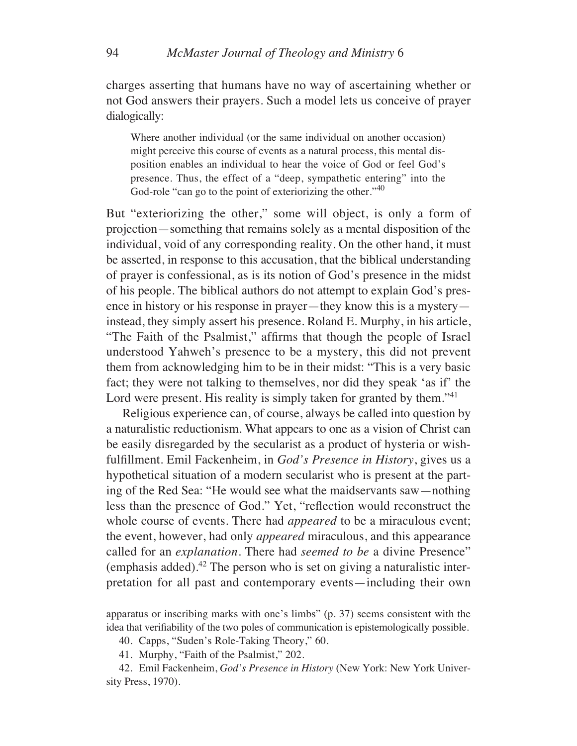charges asserting that humans have no way of ascertaining whether or not God answers their prayers. Such a model lets us conceive of prayer dialogically:

Where another individual (or the same individual on another occasion) might perceive this course of events as a natural process, this mental disposition enables an individual to hear the voice of God or feel God's presence. Thus, the effect of a "deep, sympathetic entering" into the God-role "can go to the point of exteriorizing the other."<sup>40</sup>

But "exteriorizing the other," some will object, is only a form of projection—something that remains solely as a mental disposition of the individual, void of any corresponding reality. On the other hand, it must be asserted, in response to this accusation, that the biblical understanding of prayer is confessional, as is its notion of God's presence in the midst of his people. The biblical authors do not attempt to explain God's presence in history or his response in prayer—they know this is a mystery instead, they simply assert his presence. Roland E. Murphy, in his article, "The Faith of the Psalmist," affirms that though the people of Israel understood Yahweh's presence to be a mystery, this did not prevent them from acknowledging him to be in their midst: "This is a very basic fact; they were not talking to themselves, nor did they speak 'as if' the Lord were present. His reality is simply taken for granted by them."<sup>41</sup>

Religious experience can, of course, always be called into question by a naturalistic reductionism. What appears to one as a vision of Christ can be easily disregarded by the secularist as a product of hysteria or wishfulfillment. Emil Fackenheim, in *God's Presence in History*, gives us a hypothetical situation of a modern secularist who is present at the parting of the Red Sea: "He would see what the maidservants saw—nothing less than the presence of God." Yet, "reflection would reconstruct the whole course of events. There had *appeared* to be a miraculous event; the event, however, had only *appeared* miraculous, and this appearance called for an *explanation*. There had *seemed to be* a divine Presence" (emphasis added). $42$  The person who is set on giving a naturalistic interpretation for all past and contemporary events—including their own

apparatus or inscribing marks with one's limbs" (p. 37) seems consistent with the idea that verifiability of the two poles of communication is epistemologically possible.

40. Capps, "Suden's Role-Taking Theory," 60.

41. Murphy, "Faith of the Psalmist," 202.

42. Emil Fackenheim, *God's Presence in History* (New York: New York University Press, 1970).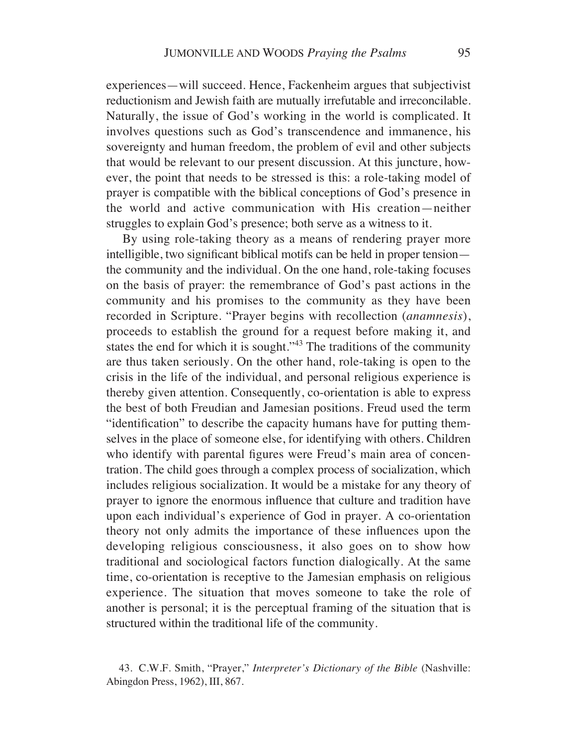experiences—will succeed. Hence, Fackenheim argues that subjectivist reductionism and Jewish faith are mutually irrefutable and irreconcilable. Naturally, the issue of God's working in the world is complicated. It involves questions such as God's transcendence and immanence, his sovereignty and human freedom, the problem of evil and other subjects that would be relevant to our present discussion. At this juncture, however, the point that needs to be stressed is this: a role-taking model of prayer is compatible with the biblical conceptions of God's presence in the world and active communication with His creation—neither struggles to explain God's presence; both serve as a witness to it.

By using role-taking theory as a means of rendering prayer more intelligible, two significant biblical motifs can be held in proper tension the community and the individual. On the one hand, role-taking focuses on the basis of prayer: the remembrance of God's past actions in the community and his promises to the community as they have been recorded in Scripture. "Prayer begins with recollection (*anamnesis*), proceeds to establish the ground for a request before making it, and states the end for which it is sought."<sup>43</sup> The traditions of the community are thus taken seriously. On the other hand, role-taking is open to the crisis in the life of the individual, and personal religious experience is thereby given attention. Consequently, co-orientation is able to express the best of both Freudian and Jamesian positions. Freud used the term "identification" to describe the capacity humans have for putting themselves in the place of someone else, for identifying with others. Children who identify with parental figures were Freud's main area of concentration. The child goes through a complex process of socialization, which includes religious socialization. It would be a mistake for any theory of prayer to ignore the enormous influence that culture and tradition have upon each individual's experience of God in prayer. A co-orientation theory not only admits the importance of these influences upon the developing religious consciousness, it also goes on to show how traditional and sociological factors function dialogically. At the same time, co-orientation is receptive to the Jamesian emphasis on religious experience. The situation that moves someone to take the role of another is personal; it is the perceptual framing of the situation that is structured within the traditional life of the community.

<sup>43.</sup> C.W.F. Smith, "Prayer," *Interpreter's Dictionary of the Bible* (Nashville: Abingdon Press, 1962), III, 867.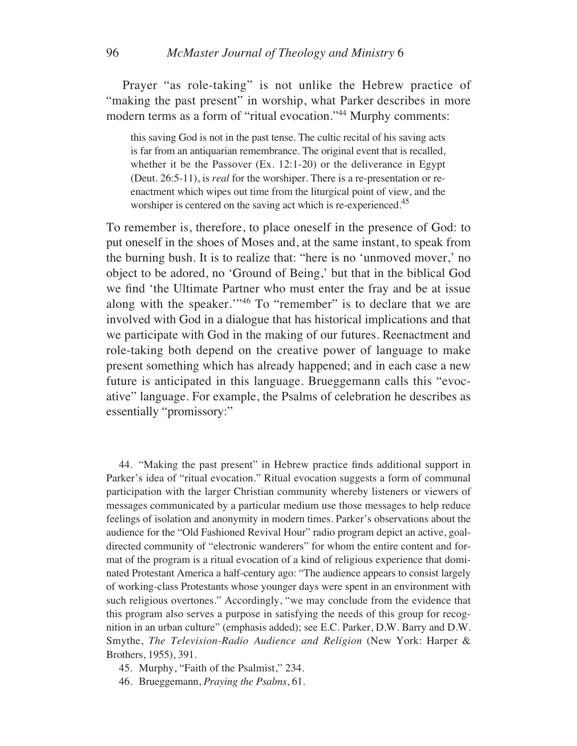Prayer "as role-taking" is not unlike the Hebrew practice of "making the past present" in worship, what Parker describes in more modern terms as a form of "ritual evocation."44 Murphy comments:

this saving God is not in the past tense. The cultic recital of his saving acts is far from an antiquarian remembrance. The original event that is recalled, whether it be the Passover (Ex. 12:1-20) or the deliverance in Egypt (Deut. 26:5-11), is *real* for the worshiper. There is a re-presentation or reenactment which wipes out time from the liturgical point of view, and the worshiper is centered on the saving act which is re-experienced.<sup>45</sup>

To remember is, therefore, to place oneself in the presence of God: to put oneself in the shoes of Moses and, at the same instant, to speak from the burning bush. It is to realize that: "here is no 'unmoved mover,' no object to be adored, no 'Ground of Being,' but that in the biblical God we find 'the Ultimate Partner who must enter the fray and be at issue along with the speaker.'"46 To "remember" is to declare that we are involved with God in a dialogue that has historical implications and that we participate with God in the making of our futures. Reenactment and role-taking both depend on the creative power of language to make present something which has already happened; and in each case a new future is anticipated in this language. Brueggemann calls this "evocative" language. For example, the Psalms of celebration he describes as essentially "promissory:"

44. "Making the past present" in Hebrew practice finds additional support in Parker's idea of "ritual evocation." Ritual evocation suggests a form of communal participation with the larger Christian community whereby listeners or viewers of messages communicated by a particular medium use those messages to help reduce feelings of isolation and anonymity in modern times. Parker's observations about the audience for the "Old Fashioned Revival Hour" radio program depict an active, goaldirected community of "electronic wanderers" for whom the entire content and format of the program is a ritual evocation of a kind of religious experience that dominated Protestant America a half-century ago: "The audience appears to consist largely of working-class Protestants whose younger days were spent in an environment with such religious overtones." Accordingly, "we may conclude from the evidence that this program also serves a purpose in satisfying the needs of this group for recognition in an urban culture" (emphasis added); see E.C. Parker, D.W. Barry and D.W. Smythe, *The Television-Radio Audience and Religion* (New York: Harper & Brothers, 1955), 391.

45. Murphy, "Faith of the Psalmist," 234.

46. Brueggemann, *Praying the Psalms*, 61.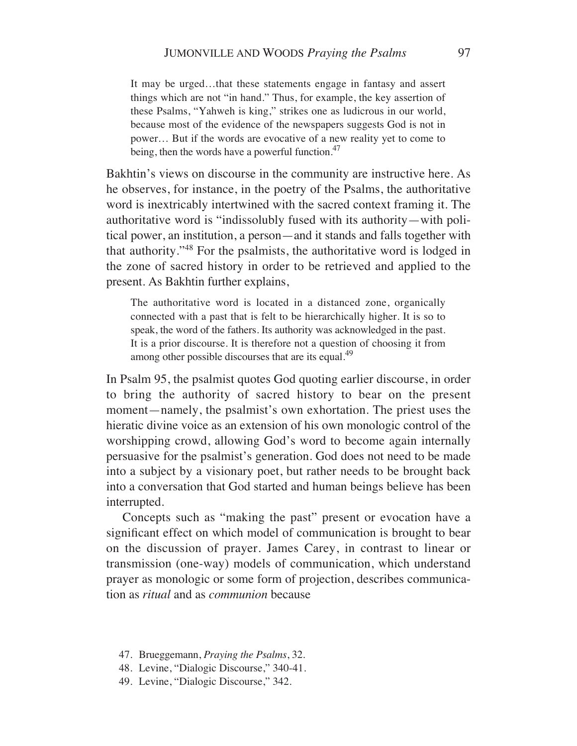It may be urged…that these statements engage in fantasy and assert things which are not "in hand." Thus, for example, the key assertion of these Psalms, "Yahweh is king," strikes one as ludicrous in our world, because most of the evidence of the newspapers suggests God is not in power… But if the words are evocative of a new reality yet to come to being, then the words have a powerful function.<sup>47</sup>

Bakhtin's views on discourse in the community are instructive here. As he observes, for instance, in the poetry of the Psalms, the authoritative word is inextricably intertwined with the sacred context framing it. The authoritative word is "indissolubly fused with its authority—with political power, an institution, a person—and it stands and falls together with that authority."48 For the psalmists, the authoritative word is lodged in the zone of sacred history in order to be retrieved and applied to the present. As Bakhtin further explains,

The authoritative word is located in a distanced zone, organically connected with a past that is felt to be hierarchically higher. It is so to speak, the word of the fathers. Its authority was acknowledged in the past. It is a prior discourse. It is therefore not a question of choosing it from among other possible discourses that are its equal.<sup>49</sup>

In Psalm 95, the psalmist quotes God quoting earlier discourse, in order to bring the authority of sacred history to bear on the present moment—namely, the psalmist's own exhortation. The priest uses the hieratic divine voice as an extension of his own monologic control of the worshipping crowd, allowing God's word to become again internally persuasive for the psalmist's generation. God does not need to be made into a subject by a visionary poet, but rather needs to be brought back into a conversation that God started and human beings believe has been interrupted.

Concepts such as "making the past" present or evocation have a significant effect on which model of communication is brought to bear on the discussion of prayer. James Carey, in contrast to linear or transmission (one-way) models of communication, which understand prayer as monologic or some form of projection, describes communication as *ritual* and as *communion* because

- 47. Brueggemann, *Praying the Psalms*, 32.
- 48. Levine, "Dialogic Discourse," 340-41.
- 49. Levine, "Dialogic Discourse," 342.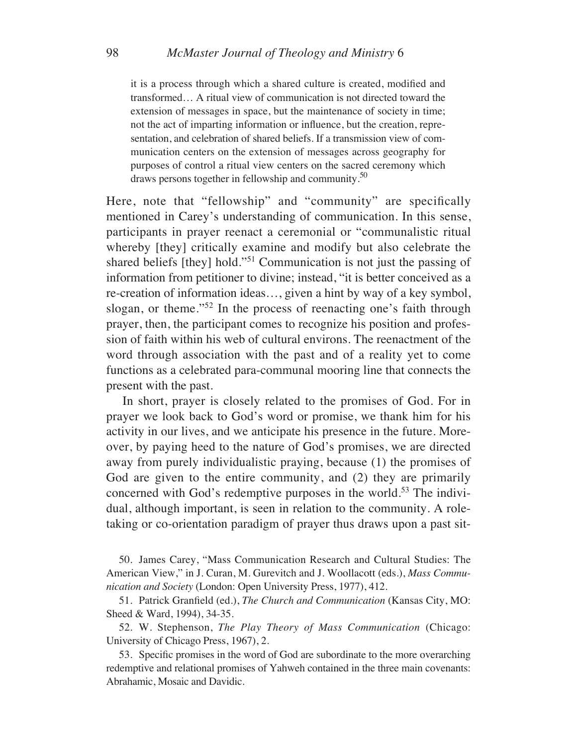it is a process through which a shared culture is created, modified and transformed… A ritual view of communication is not directed toward the extension of messages in space, but the maintenance of society in time; not the act of imparting information or influence, but the creation, representation, and celebration of shared beliefs. If a transmission view of communication centers on the extension of messages across geography for purposes of control a ritual view centers on the sacred ceremony which draws persons together in fellowship and community.<sup>50</sup>

Here, note that "fellowship" and "community" are specifically mentioned in Carey's understanding of communication. In this sense, participants in prayer reenact a ceremonial or "communalistic ritual whereby [they] critically examine and modify but also celebrate the shared beliefs [they] hold."51 Communication is not just the passing of information from petitioner to divine; instead, "it is better conceived as a re-creation of information ideas…, given a hint by way of a key symbol, slogan, or theme."52 In the process of reenacting one's faith through prayer, then, the participant comes to recognize his position and profession of faith within his web of cultural environs. The reenactment of the word through association with the past and of a reality yet to come functions as a celebrated para-communal mooring line that connects the present with the past.

In short, prayer is closely related to the promises of God. For in prayer we look back to God's word or promise, we thank him for his activity in our lives, and we anticipate his presence in the future. Moreover, by paying heed to the nature of God's promises, we are directed away from purely individualistic praying, because (1) the promises of God are given to the entire community, and (2) they are primarily concerned with God's redemptive purposes in the world.<sup>53</sup> The individual, although important, is seen in relation to the community. A roletaking or co-orientation paradigm of prayer thus draws upon a past sit-

50. James Carey, "Mass Communication Research and Cultural Studies: The American View," in J. Curan, M. Gurevitch and J. Woollacott (eds.), *Mass Communication and Society* (London: Open University Press, 1977), 412.

51. Patrick Granfield (ed.), *The Church and Communication* (Kansas City, MO: Sheed & Ward, 1994), 34-35.

52. W. Stephenson, *The Play Theory of Mass Communication* (Chicago: University of Chicago Press, 1967), 2.

53. Specific promises in the word of God are subordinate to the more overarching redemptive and relational promises of Yahweh contained in the three main covenants: Abrahamic, Mosaic and Davidic.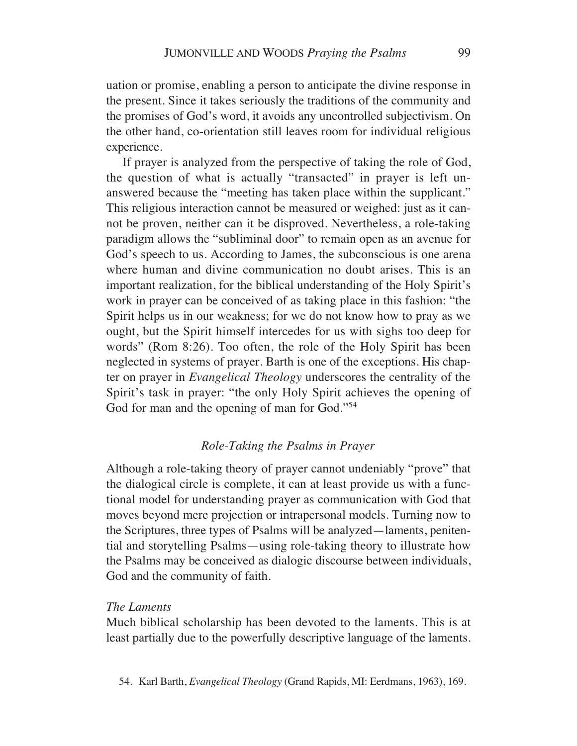uation or promise, enabling a person to anticipate the divine response in the present. Since it takes seriously the traditions of the community and the promises of God's word, it avoids any uncontrolled subjectivism. On the other hand, co-orientation still leaves room for individual religious experience.

If prayer is analyzed from the perspective of taking the role of God, the question of what is actually "transacted" in prayer is left unanswered because the "meeting has taken place within the supplicant." This religious interaction cannot be measured or weighed: just as it cannot be proven, neither can it be disproved. Nevertheless, a role-taking paradigm allows the "subliminal door" to remain open as an avenue for God's speech to us. According to James, the subconscious is one arena where human and divine communication no doubt arises. This is an important realization, for the biblical understanding of the Holy Spirit's work in prayer can be conceived of as taking place in this fashion: "the Spirit helps us in our weakness; for we do not know how to pray as we ought, but the Spirit himself intercedes for us with sighs too deep for words" (Rom 8:26). Too often, the role of the Holy Spirit has been neglected in systems of prayer. Barth is one of the exceptions. His chapter on prayer in *Evangelical Theology* underscores the centrality of the Spirit's task in prayer: "the only Holy Spirit achieves the opening of God for man and the opening of man for God."<sup>54</sup>

#### *Role-Taking the Psalms in Prayer*

Although a role-taking theory of prayer cannot undeniably "prove" that the dialogical circle is complete, it can at least provide us with a functional model for understanding prayer as communication with God that moves beyond mere projection or intrapersonal models. Turning now to the Scriptures, three types of Psalms will be analyzed—laments, penitential and storytelling Psalms—using role-taking theory to illustrate how the Psalms may be conceived as dialogic discourse between individuals, God and the community of faith.

#### *The Laments*

Much biblical scholarship has been devoted to the laments. This is at least partially due to the powerfully descriptive language of the laments.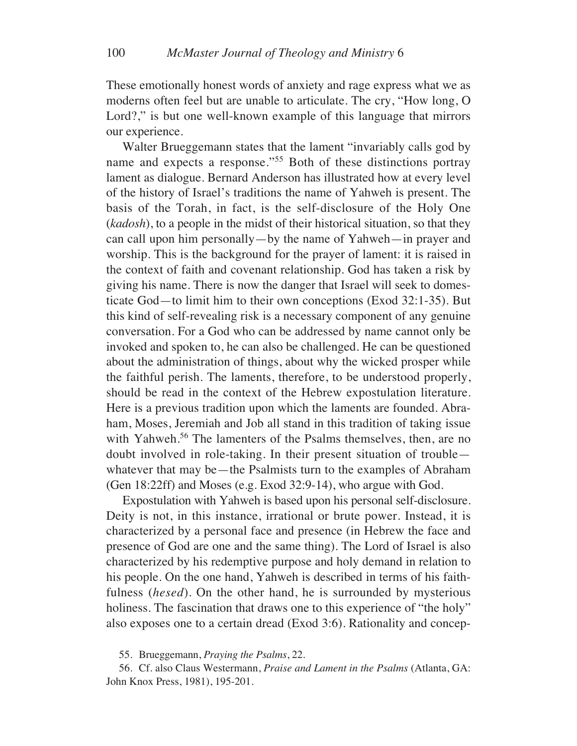These emotionally honest words of anxiety and rage express what we as moderns often feel but are unable to articulate. The cry, "How long, O Lord?," is but one well-known example of this language that mirrors our experience.

Walter Brueggemann states that the lament "invariably calls god by name and expects a response."55 Both of these distinctions portray lament as dialogue. Bernard Anderson has illustrated how at every level of the history of Israel's traditions the name of Yahweh is present. The basis of the Torah, in fact, is the self-disclosure of the Holy One (*kadosh*), to a people in the midst of their historical situation, so that they can call upon him personally—by the name of Yahweh—in prayer and worship. This is the background for the prayer of lament: it is raised in the context of faith and covenant relationship. God has taken a risk by giving his name. There is now the danger that Israel will seek to domesticate God—to limit him to their own conceptions (Exod 32:1-35). But this kind of self-revealing risk is a necessary component of any genuine conversation. For a God who can be addressed by name cannot only be invoked and spoken to, he can also be challenged. He can be questioned about the administration of things, about why the wicked prosper while the faithful perish. The laments, therefore, to be understood properly, should be read in the context of the Hebrew expostulation literature. Here is a previous tradition upon which the laments are founded. Abraham, Moses, Jeremiah and Job all stand in this tradition of taking issue with Yahweh.<sup>56</sup> The lamenters of the Psalms themselves, then, are no doubt involved in role-taking. In their present situation of trouble whatever that may be—the Psalmists turn to the examples of Abraham (Gen 18:22ff) and Moses (e.g. Exod 32:9-14), who argue with God.

Expostulation with Yahweh is based upon his personal self-disclosure. Deity is not, in this instance, irrational or brute power. Instead, it is characterized by a personal face and presence (in Hebrew the face and presence of God are one and the same thing). The Lord of Israel is also characterized by his redemptive purpose and holy demand in relation to his people. On the one hand, Yahweh is described in terms of his faithfulness (*hesed*). On the other hand, he is surrounded by mysterious holiness. The fascination that draws one to this experience of "the holy" also exposes one to a certain dread (Exod 3:6). Rationality and concep-

55. Brueggemann, *Praying the Psalms*, 22.

56. Cf. also Claus Westermann, *Praise and Lament in the Psalms* (Atlanta, GA: John Knox Press, 1981), 195-201.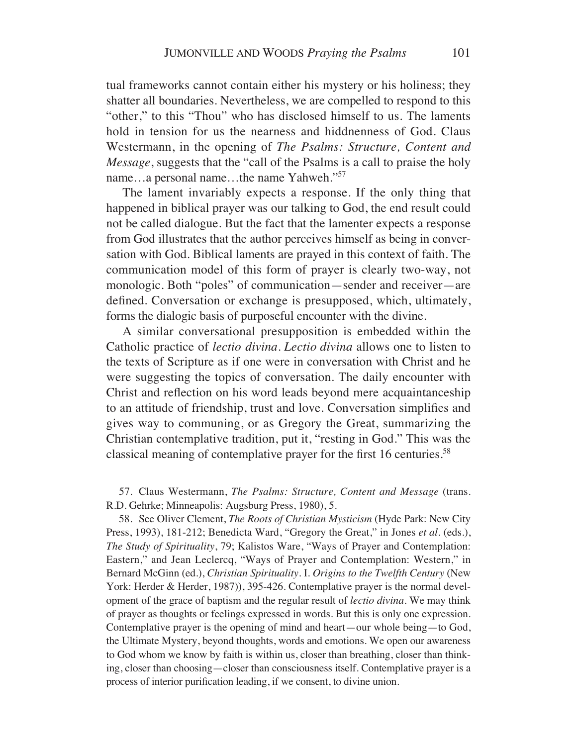tual frameworks cannot contain either his mystery or his holiness; they shatter all boundaries. Nevertheless, we are compelled to respond to this "other," to this "Thou" who has disclosed himself to us. The laments hold in tension for us the nearness and hiddnenness of God. Claus Westermann, in the opening of *The Psalms: Structure, Content and Message*, suggests that the "call of the Psalms is a call to praise the holy name…a personal name…the name Yahweh."57

The lament invariably expects a response. If the only thing that happened in biblical prayer was our talking to God, the end result could not be called dialogue. But the fact that the lamenter expects a response from God illustrates that the author perceives himself as being in conversation with God. Biblical laments are prayed in this context of faith. The communication model of this form of prayer is clearly two-way, not monologic. Both "poles" of communication—sender and receiver—are defined. Conversation or exchange is presupposed, which, ultimately, forms the dialogic basis of purposeful encounter with the divine.

A similar conversational presupposition is embedded within the Catholic practice of *lectio divina*. *Lectio divina* allows one to listen to the texts of Scripture as if one were in conversation with Christ and he were suggesting the topics of conversation. The daily encounter with Christ and reflection on his word leads beyond mere acquaintanceship to an attitude of friendship, trust and love. Conversation simplifies and gives way to communing, or as Gregory the Great, summarizing the Christian contemplative tradition, put it, "resting in God." This was the classical meaning of contemplative prayer for the first 16 centuries.<sup>58</sup>

57. Claus Westermann, *The Psalms: Structure, Content and Message* (trans. R.D. Gehrke; Minneapolis: Augsburg Press, 1980), 5.

58. See Oliver Clement, *The Roots of Christian Mysticism* (Hyde Park: New City Press, 1993), 181-212; Benedicta Ward, "Gregory the Great," in Jones *et al*. (eds.), *The Study of Spirituality*, 79; Kalistos Ware, "Ways of Prayer and Contemplation: Eastern," and Jean Leclercq, "Ways of Prayer and Contemplation: Western," in Bernard McGinn (ed.), *Christian Spirituality*. I. *Origins to the Twelfth Century* (New York: Herder & Herder, 1987)), 395-426. Contemplative prayer is the normal development of the grace of baptism and the regular result of *lectio divina*. We may think of prayer as thoughts or feelings expressed in words. But this is only one expression. Contemplative prayer is the opening of mind and heart—our whole being—to God, the Ultimate Mystery, beyond thoughts, words and emotions. We open our awareness to God whom we know by faith is within us, closer than breathing, closer than thinking, closer than choosing—closer than consciousness itself. Contemplative prayer is a process of interior purification leading, if we consent, to divine union.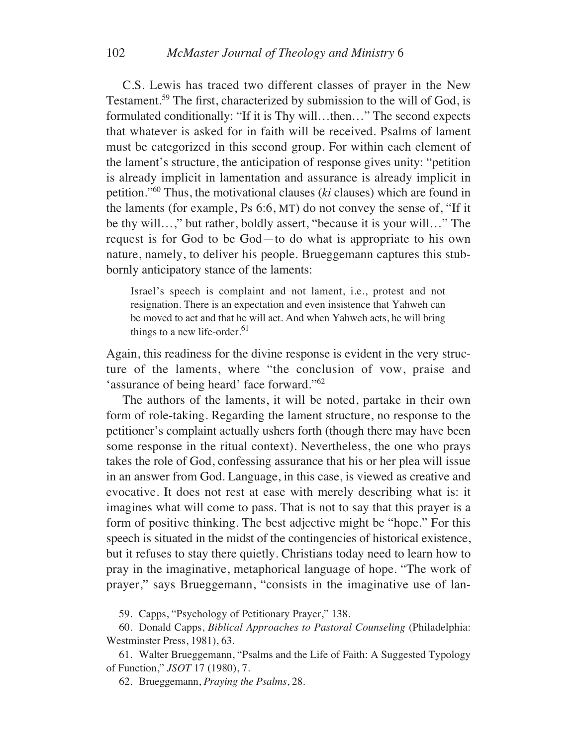C.S. Lewis has traced two different classes of prayer in the New Testament.59 The first, characterized by submission to the will of God, is formulated conditionally: "If it is Thy will…then…" The second expects that whatever is asked for in faith will be received. Psalms of lament must be categorized in this second group. For within each element of the lament's structure, the anticipation of response gives unity: "petition is already implicit in lamentation and assurance is already implicit in petition."60 Thus, the motivational clauses (*ki* clauses) which are found in the laments (for example, Ps 6:6, MT) do not convey the sense of, "If it be thy will…," but rather, boldly assert, "because it is your will…" The request is for God to be God—to do what is appropriate to his own nature, namely, to deliver his people. Brueggemann captures this stubbornly anticipatory stance of the laments:

Israel's speech is complaint and not lament, i.e., protest and not resignation. There is an expectation and even insistence that Yahweh can be moved to act and that he will act. And when Yahweh acts, he will bring things to a new life-order. $61$ 

Again, this readiness for the divine response is evident in the very structure of the laments, where "the conclusion of vow, praise and 'assurance of being heard' face forward."62

The authors of the laments, it will be noted, partake in their own form of role-taking. Regarding the lament structure, no response to the petitioner's complaint actually ushers forth (though there may have been some response in the ritual context). Nevertheless, the one who prays takes the role of God, confessing assurance that his or her plea will issue in an answer from God. Language, in this case, is viewed as creative and evocative. It does not rest at ease with merely describing what is: it imagines what will come to pass. That is not to say that this prayer is a form of positive thinking. The best adjective might be "hope." For this speech is situated in the midst of the contingencies of historical existence, but it refuses to stay there quietly. Christians today need to learn how to pray in the imaginative, metaphorical language of hope. "The work of prayer," says Brueggemann, "consists in the imaginative use of lan-

59. Capps, "Psychology of Petitionary Prayer," 138.

60. Donald Capps, *Biblical Approaches to Pastoral Counseling* (Philadelphia: Westminster Press, 1981), 63.

61. Walter Brueggemann, "Psalms and the Life of Faith: A Suggested Typology of Function," *JSOT* 17 (1980), 7.

62. Brueggemann, *Praying the Psalms*, 28.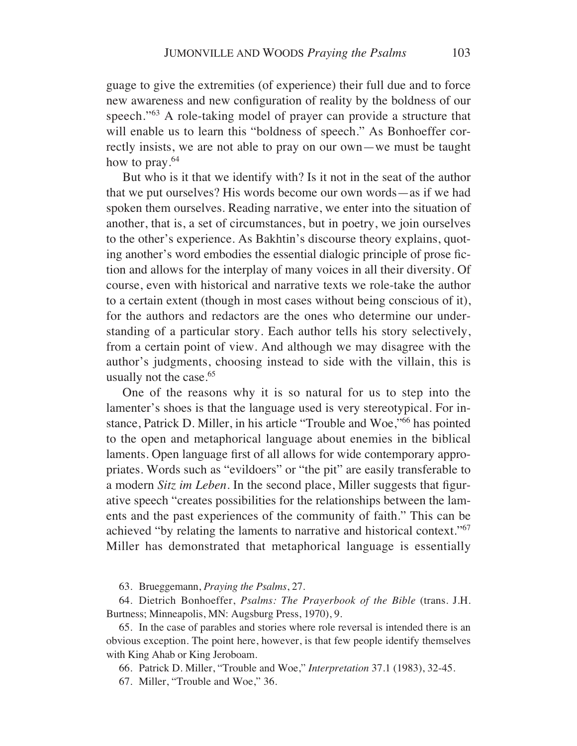guage to give the extremities (of experience) their full due and to force new awareness and new configuration of reality by the boldness of our speech."<sup>63</sup> A role-taking model of prayer can provide a structure that will enable us to learn this "boldness of speech." As Bonhoeffer correctly insists, we are not able to pray on our own—we must be taught how to pray.<sup>64</sup>

But who is it that we identify with? Is it not in the seat of the author that we put ourselves? His words become our own words—as if we had spoken them ourselves. Reading narrative, we enter into the situation of another, that is, a set of circumstances, but in poetry, we join ourselves to the other's experience. As Bakhtin's discourse theory explains, quoting another's word embodies the essential dialogic principle of prose fiction and allows for the interplay of many voices in all their diversity. Of course, even with historical and narrative texts we role-take the author to a certain extent (though in most cases without being conscious of it), for the authors and redactors are the ones who determine our understanding of a particular story. Each author tells his story selectively, from a certain point of view. And although we may disagree with the author's judgments, choosing instead to side with the villain, this is usually not the case.<sup>65</sup>

One of the reasons why it is so natural for us to step into the lamenter's shoes is that the language used is very stereotypical. For instance, Patrick D. Miller, in his article "Trouble and Woe,"66 has pointed to the open and metaphorical language about enemies in the biblical laments. Open language first of all allows for wide contemporary appropriates. Words such as "evildoers" or "the pit" are easily transferable to a modern *Sitz im Leben*. In the second place, Miller suggests that figurative speech "creates possibilities for the relationships between the laments and the past experiences of the community of faith." This can be achieved "by relating the laments to narrative and historical context."67 Miller has demonstrated that metaphorical language is essentially

63. Brueggemann, *Praying the Psalms*, 27.

64. Dietrich Bonhoeffer, *Psalms: The Prayerbook of the Bible* (trans. J.H. Burtness; Minneapolis, MN: Augsburg Press, 1970), 9.

65. In the case of parables and stories where role reversal is intended there is an obvious exception. The point here, however, is that few people identify themselves with King Ahab or King Jeroboam.

66. Patrick D. Miller, "Trouble and Woe," *Interpretation* 37.1 (1983), 32-45.

67. Miller, "Trouble and Woe," 36.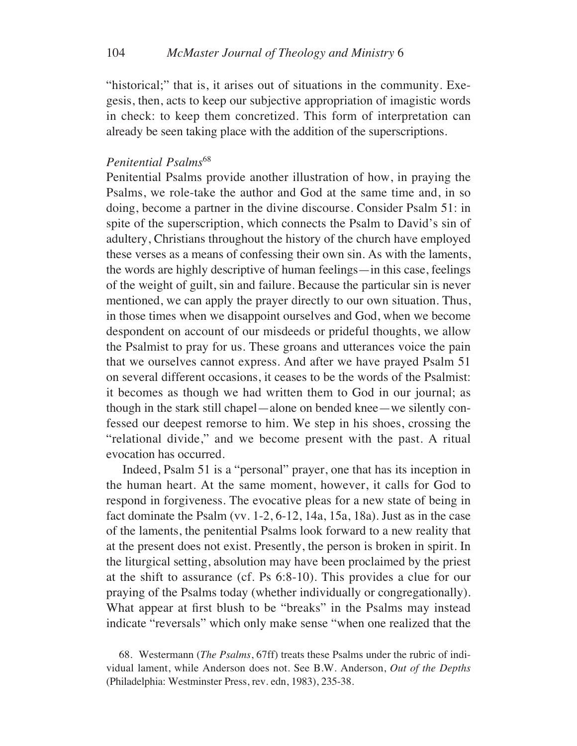"historical;" that is, it arises out of situations in the community. Exegesis, then, acts to keep our subjective appropriation of imagistic words in check: to keep them concretized. This form of interpretation can already be seen taking place with the addition of the superscriptions.

### *Penitential Psalms*<sup>68</sup>

Penitential Psalms provide another illustration of how, in praying the Psalms, we role-take the author and God at the same time and, in so doing, become a partner in the divine discourse. Consider Psalm 51: in spite of the superscription, which connects the Psalm to David's sin of adultery, Christians throughout the history of the church have employed these verses as a means of confessing their own sin. As with the laments, the words are highly descriptive of human feelings—in this case, feelings of the weight of guilt, sin and failure. Because the particular sin is never mentioned, we can apply the prayer directly to our own situation. Thus, in those times when we disappoint ourselves and God, when we become despondent on account of our misdeeds or prideful thoughts, we allow the Psalmist to pray for us. These groans and utterances voice the pain that we ourselves cannot express. And after we have prayed Psalm 51 on several different occasions, it ceases to be the words of the Psalmist: it becomes as though we had written them to God in our journal; as though in the stark still chapel—alone on bended knee—we silently confessed our deepest remorse to him. We step in his shoes, crossing the "relational divide," and we become present with the past. A ritual evocation has occurred.

Indeed, Psalm 51 is a "personal" prayer, one that has its inception in the human heart. At the same moment, however, it calls for God to respond in forgiveness. The evocative pleas for a new state of being in fact dominate the Psalm (vv. 1-2, 6-12, 14a, 15a, 18a). Just as in the case of the laments, the penitential Psalms look forward to a new reality that at the present does not exist. Presently, the person is broken in spirit. In the liturgical setting, absolution may have been proclaimed by the priest at the shift to assurance (cf. Ps 6:8-10). This provides a clue for our praying of the Psalms today (whether individually or congregationally). What appear at first blush to be "breaks" in the Psalms may instead indicate "reversals" which only make sense "when one realized that the

<sup>68.</sup> Westermann (*The Psalms*, 67ff) treats these Psalms under the rubric of individual lament, while Anderson does not. See B.W. Anderson, *Out of the Depths* (Philadelphia: Westminster Press, rev. edn, 1983), 235-38.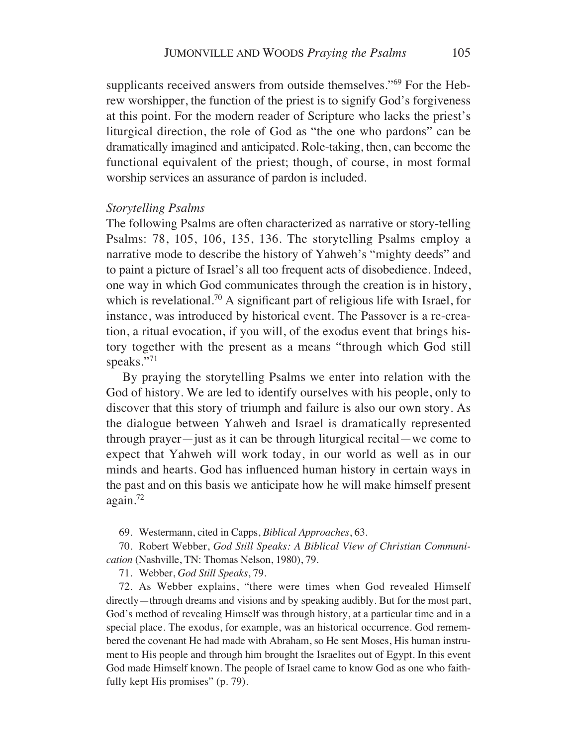supplicants received answers from outside themselves."<sup>69</sup> For the Hebrew worshipper, the function of the priest is to signify God's forgiveness at this point. For the modern reader of Scripture who lacks the priest's liturgical direction, the role of God as "the one who pardons" can be dramatically imagined and anticipated. Role-taking, then, can become the functional equivalent of the priest; though, of course, in most formal worship services an assurance of pardon is included.

#### *Storytelling Psalms*

The following Psalms are often characterized as narrative or story-telling Psalms: 78, 105, 106, 135, 136. The storytelling Psalms employ a narrative mode to describe the history of Yahweh's "mighty deeds" and to paint a picture of Israel's all too frequent acts of disobedience. Indeed, one way in which God communicates through the creation is in history, which is revelational.<sup>70</sup> A significant part of religious life with Israel, for instance, was introduced by historical event. The Passover is a re-creation, a ritual evocation, if you will, of the exodus event that brings history together with the present as a means "through which God still speaks."71

By praying the storytelling Psalms we enter into relation with the God of history. We are led to identify ourselves with his people, only to discover that this story of triumph and failure is also our own story. As the dialogue between Yahweh and Israel is dramatically represented through prayer—just as it can be through liturgical recital—we come to expect that Yahweh will work today, in our world as well as in our minds and hearts. God has influenced human history in certain ways in the past and on this basis we anticipate how he will make himself present again.72

69. Westermann, cited in Capps, *Biblical Approaches*, 63.

70. Robert Webber, *God Still Speaks: A Biblical View of Christian Communication* (Nashville, TN: Thomas Nelson, 1980), 79.

71. Webber, *God Still Speaks*, 79.

72. As Webber explains, "there were times when God revealed Himself directly—through dreams and visions and by speaking audibly. But for the most part, God's method of revealing Himself was through history, at a particular time and in a special place. The exodus, for example, was an historical occurrence. God remembered the covenant He had made with Abraham, so He sent Moses, His human instrument to His people and through him brought the Israelites out of Egypt. In this event God made Himself known. The people of Israel came to know God as one who faithfully kept His promises" (p. 79).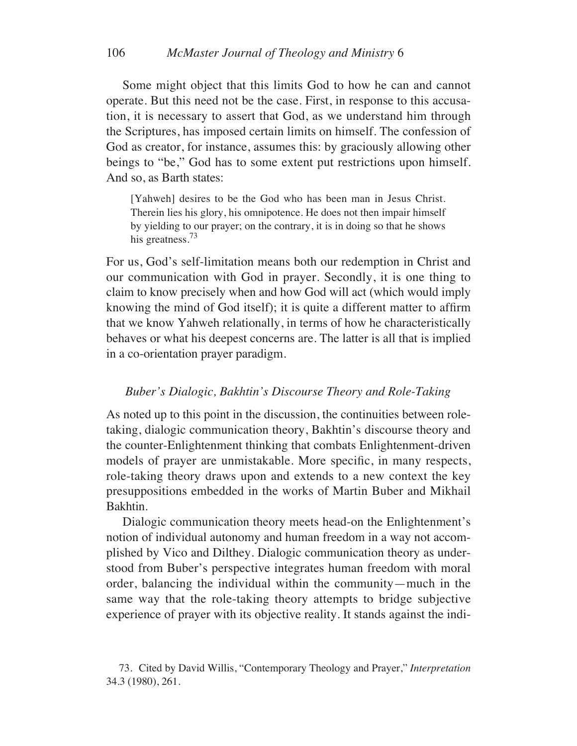Some might object that this limits God to how he can and cannot operate. But this need not be the case. First, in response to this accusation, it is necessary to assert that God, as we understand him through the Scriptures, has imposed certain limits on himself. The confession of God as creator, for instance, assumes this: by graciously allowing other beings to "be," God has to some extent put restrictions upon himself. And so, as Barth states:

[Yahweh] desires to be the God who has been man in Jesus Christ. Therein lies his glory, his omnipotence. He does not then impair himself by yielding to our prayer; on the contrary, it is in doing so that he shows his greatness.<sup>73</sup>

For us, God's self-limitation means both our redemption in Christ and our communication with God in prayer. Secondly, it is one thing to claim to know precisely when and how God will act (which would imply knowing the mind of God itself); it is quite a different matter to affirm that we know Yahweh relationally, in terms of how he characteristically behaves or what his deepest concerns are. The latter is all that is implied in a co-orientation prayer paradigm.

#### *Buber's Dialogic, Bakhtin's Discourse Theory and Role-Taking*

As noted up to this point in the discussion, the continuities between roletaking, dialogic communication theory, Bakhtin's discourse theory and the counter-Enlightenment thinking that combats Enlightenment-driven models of prayer are unmistakable. More specific, in many respects, role-taking theory draws upon and extends to a new context the key presuppositions embedded in the works of Martin Buber and Mikhail Bakhtin.

Dialogic communication theory meets head-on the Enlightenment's notion of individual autonomy and human freedom in a way not accomplished by Vico and Dilthey. Dialogic communication theory as understood from Buber's perspective integrates human freedom with moral order, balancing the individual within the community—much in the same way that the role-taking theory attempts to bridge subjective experience of prayer with its objective reality. It stands against the indi-

<sup>73.</sup> Cited by David Willis, "Contemporary Theology and Prayer," *Interpretation* 34.3 (1980), 261.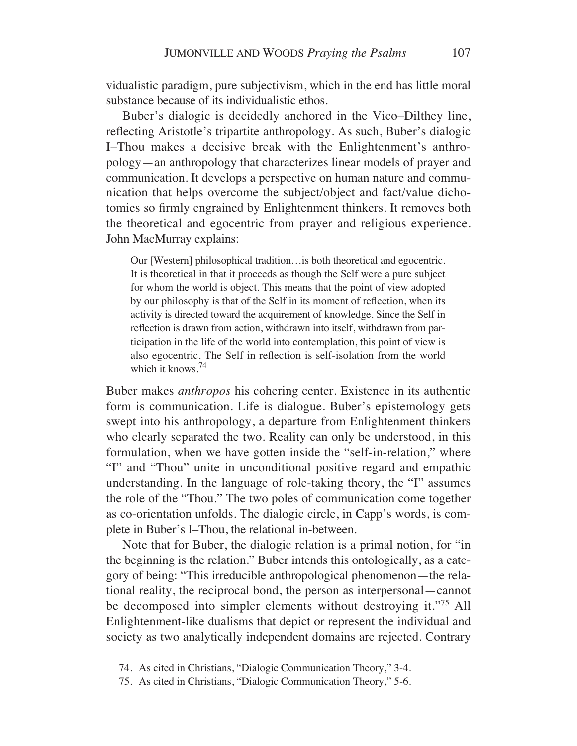vidualistic paradigm, pure subjectivism, which in the end has little moral substance because of its individualistic ethos.

Buber's dialogic is decidedly anchored in the Vico–Dilthey line, reflecting Aristotle's tripartite anthropology. As such, Buber's dialogic I–Thou makes a decisive break with the Enlightenment's anthropology—an anthropology that characterizes linear models of prayer and communication. It develops a perspective on human nature and communication that helps overcome the subject/object and fact/value dichotomies so firmly engrained by Enlightenment thinkers. It removes both the theoretical and egocentric from prayer and religious experience. John MacMurray explains:

Our [Western] philosophical tradition…is both theoretical and egocentric. It is theoretical in that it proceeds as though the Self were a pure subject for whom the world is object. This means that the point of view adopted by our philosophy is that of the Self in its moment of reflection, when its activity is directed toward the acquirement of knowledge. Since the Self in reflection is drawn from action, withdrawn into itself, withdrawn from participation in the life of the world into contemplation, this point of view is also egocentric. The Self in reflection is self-isolation from the world which it knows.<sup>74</sup>

Buber makes *anthropos* his cohering center. Existence in its authentic form is communication. Life is dialogue. Buber's epistemology gets swept into his anthropology, a departure from Enlightenment thinkers who clearly separated the two. Reality can only be understood, in this formulation, when we have gotten inside the "self-in-relation," where "I" and "Thou" unite in unconditional positive regard and empathic understanding. In the language of role-taking theory, the "I" assumes the role of the "Thou." The two poles of communication come together as co-orientation unfolds. The dialogic circle, in Capp's words, is complete in Buber's I–Thou, the relational in-between.

Note that for Buber, the dialogic relation is a primal notion, for "in the beginning is the relation." Buber intends this ontologically, as a category of being: "This irreducible anthropological phenomenon—the relational reality, the reciprocal bond, the person as interpersonal—cannot be decomposed into simpler elements without destroying it."75 All Enlightenment-like dualisms that depict or represent the individual and society as two analytically independent domains are rejected. Contrary

<sup>74.</sup> As cited in Christians, "Dialogic Communication Theory," 3-4.

<sup>75.</sup> As cited in Christians, "Dialogic Communication Theory," 5-6.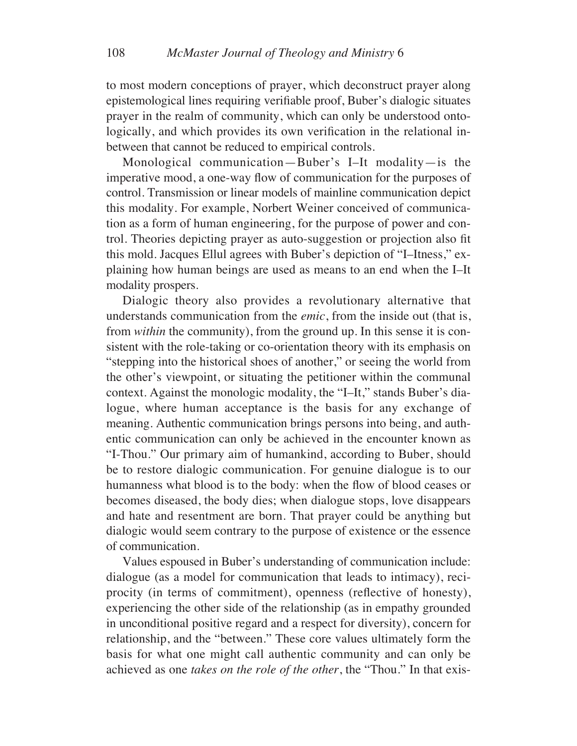to most modern conceptions of prayer, which deconstruct prayer along epistemological lines requiring verifiable proof, Buber's dialogic situates prayer in the realm of community, which can only be understood ontologically, and which provides its own verification in the relational inbetween that cannot be reduced to empirical controls.

Monological communication—Buber's I–It modality—is the imperative mood, a one-way flow of communication for the purposes of control. Transmission or linear models of mainline communication depict this modality. For example, Norbert Weiner conceived of communication as a form of human engineering, for the purpose of power and control. Theories depicting prayer as auto-suggestion or projection also fit this mold. Jacques Ellul agrees with Buber's depiction of "I–Itness," explaining how human beings are used as means to an end when the I–It modality prospers.

Dialogic theory also provides a revolutionary alternative that understands communication from the *emic*, from the inside out (that is, from *within* the community), from the ground up. In this sense it is consistent with the role-taking or co-orientation theory with its emphasis on "stepping into the historical shoes of another," or seeing the world from the other's viewpoint, or situating the petitioner within the communal context. Against the monologic modality, the "I–It," stands Buber's dialogue, where human acceptance is the basis for any exchange of meaning. Authentic communication brings persons into being, and authentic communication can only be achieved in the encounter known as "I-Thou." Our primary aim of humankind, according to Buber, should be to restore dialogic communication. For genuine dialogue is to our humanness what blood is to the body: when the flow of blood ceases or becomes diseased, the body dies; when dialogue stops, love disappears and hate and resentment are born. That prayer could be anything but dialogic would seem contrary to the purpose of existence or the essence of communication.

Values espoused in Buber's understanding of communication include: dialogue (as a model for communication that leads to intimacy), reciprocity (in terms of commitment), openness (reflective of honesty), experiencing the other side of the relationship (as in empathy grounded in unconditional positive regard and a respect for diversity), concern for relationship, and the "between." These core values ultimately form the basis for what one might call authentic community and can only be achieved as one *takes on the role of the other*, the "Thou." In that exis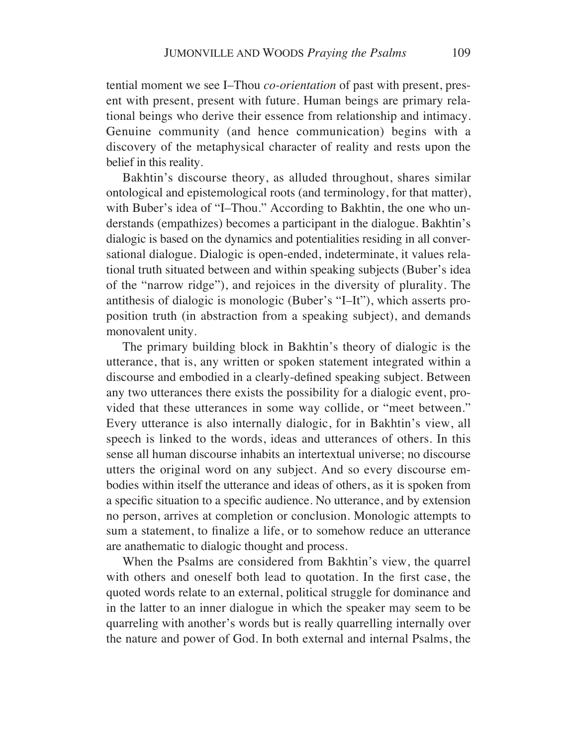tential moment we see I–Thou *co-orientation* of past with present, present with present, present with future. Human beings are primary relational beings who derive their essence from relationship and intimacy. Genuine community (and hence communication) begins with a discovery of the metaphysical character of reality and rests upon the belief in this reality.

Bakhtin's discourse theory, as alluded throughout, shares similar ontological and epistemological roots (and terminology, for that matter), with Buber's idea of "I–Thou." According to Bakhtin, the one who understands (empathizes) becomes a participant in the dialogue. Bakhtin's dialogic is based on the dynamics and potentialities residing in all conversational dialogue. Dialogic is open-ended, indeterminate, it values relational truth situated between and within speaking subjects (Buber's idea of the "narrow ridge"), and rejoices in the diversity of plurality. The antithesis of dialogic is monologic (Buber's "I–It"), which asserts proposition truth (in abstraction from a speaking subject), and demands monovalent unity.

The primary building block in Bakhtin's theory of dialogic is the utterance, that is, any written or spoken statement integrated within a discourse and embodied in a clearly-defined speaking subject. Between any two utterances there exists the possibility for a dialogic event, provided that these utterances in some way collide, or "meet between." Every utterance is also internally dialogic, for in Bakhtin's view, all speech is linked to the words, ideas and utterances of others. In this sense all human discourse inhabits an intertextual universe; no discourse utters the original word on any subject. And so every discourse embodies within itself the utterance and ideas of others, as it is spoken from a specific situation to a specific audience. No utterance, and by extension no person, arrives at completion or conclusion. Monologic attempts to sum a statement, to finalize a life, or to somehow reduce an utterance are anathematic to dialogic thought and process.

When the Psalms are considered from Bakhtin's view, the quarrel with others and oneself both lead to quotation. In the first case, the quoted words relate to an external, political struggle for dominance and in the latter to an inner dialogue in which the speaker may seem to be quarreling with another's words but is really quarrelling internally over the nature and power of God. In both external and internal Psalms, the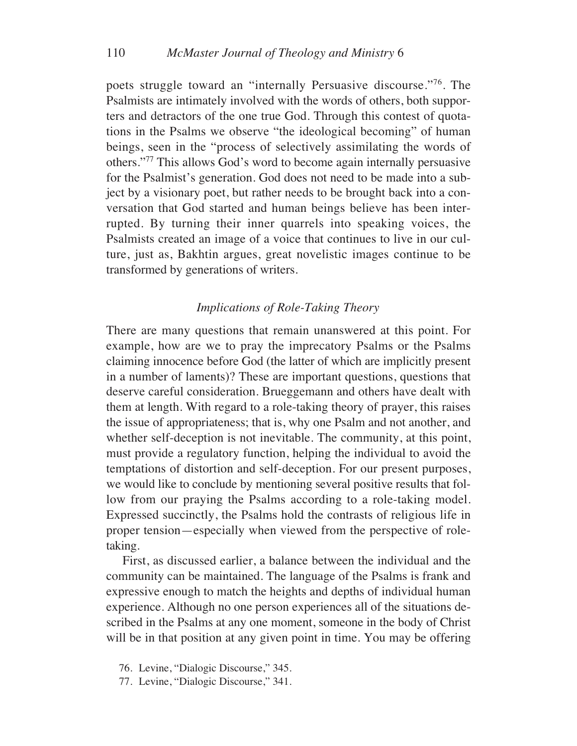poets struggle toward an "internally Persuasive discourse."76. The Psalmists are intimately involved with the words of others, both supporters and detractors of the one true God. Through this contest of quotations in the Psalms we observe "the ideological becoming" of human beings, seen in the "process of selectively assimilating the words of others."77 This allows God's word to become again internally persuasive for the Psalmist's generation. God does not need to be made into a subject by a visionary poet, but rather needs to be brought back into a conversation that God started and human beings believe has been interrupted. By turning their inner quarrels into speaking voices, the Psalmists created an image of a voice that continues to live in our culture, just as, Bakhtin argues, great novelistic images continue to be transformed by generations of writers.

### *Implications of Role-Taking Theory*

There are many questions that remain unanswered at this point. For example, how are we to pray the imprecatory Psalms or the Psalms claiming innocence before God (the latter of which are implicitly present in a number of laments)? These are important questions, questions that deserve careful consideration. Brueggemann and others have dealt with them at length. With regard to a role-taking theory of prayer, this raises the issue of appropriateness; that is, why one Psalm and not another, and whether self-deception is not inevitable. The community, at this point, must provide a regulatory function, helping the individual to avoid the temptations of distortion and self-deception. For our present purposes, we would like to conclude by mentioning several positive results that follow from our praying the Psalms according to a role-taking model. Expressed succinctly, the Psalms hold the contrasts of religious life in proper tension—especially when viewed from the perspective of roletaking.

First, as discussed earlier, a balance between the individual and the community can be maintained. The language of the Psalms is frank and expressive enough to match the heights and depths of individual human experience. Although no one person experiences all of the situations described in the Psalms at any one moment, someone in the body of Christ will be in that position at any given point in time. You may be offering

77. Levine, "Dialogic Discourse," 341.

<sup>76.</sup> Levine, "Dialogic Discourse," 345.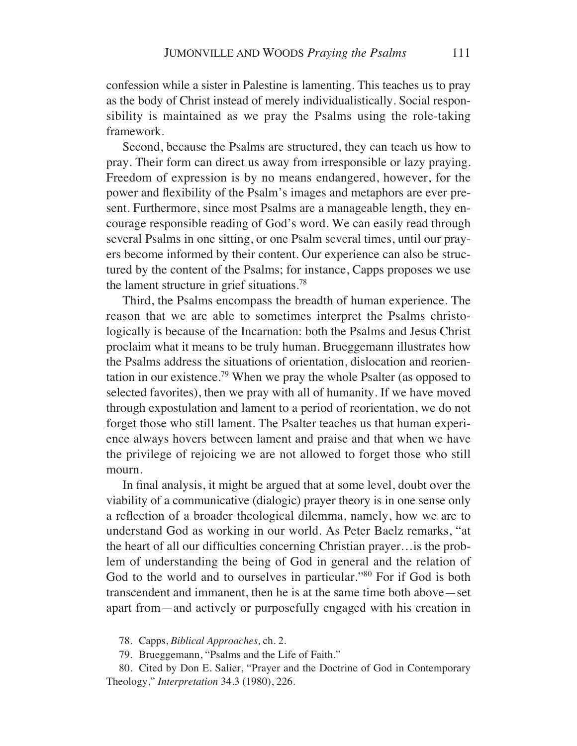confession while a sister in Palestine is lamenting. This teaches us to pray as the body of Christ instead of merely individualistically. Social responsibility is maintained as we pray the Psalms using the role-taking framework.

Second, because the Psalms are structured, they can teach us how to pray. Their form can direct us away from irresponsible or lazy praying. Freedom of expression is by no means endangered, however, for the power and flexibility of the Psalm's images and metaphors are ever present. Furthermore, since most Psalms are a manageable length, they encourage responsible reading of God's word. We can easily read through several Psalms in one sitting, or one Psalm several times, until our prayers become informed by their content. Our experience can also be structured by the content of the Psalms; for instance, Capps proposes we use the lament structure in grief situations.78

Third, the Psalms encompass the breadth of human experience. The reason that we are able to sometimes interpret the Psalms christologically is because of the Incarnation: both the Psalms and Jesus Christ proclaim what it means to be truly human. Brueggemann illustrates how the Psalms address the situations of orientation, dislocation and reorientation in our existence.<sup>79</sup> When we pray the whole Psalter (as opposed to selected favorites), then we pray with all of humanity. If we have moved through expostulation and lament to a period of reorientation, we do not forget those who still lament. The Psalter teaches us that human experience always hovers between lament and praise and that when we have the privilege of rejoicing we are not allowed to forget those who still mourn.

In final analysis, it might be argued that at some level, doubt over the viability of a communicative (dialogic) prayer theory is in one sense only a reflection of a broader theological dilemma, namely, how we are to understand God as working in our world. As Peter Baelz remarks, "at the heart of all our difficulties concerning Christian prayer…is the problem of understanding the being of God in general and the relation of God to the world and to ourselves in particular."<sup>80</sup> For if God is both transcendent and immanent, then he is at the same time both above—set apart from—and actively or purposefully engaged with his creation in

78. Capps, *Biblical Approaches,* ch. 2.

79. Brueggemann, "Psalms and the Life of Faith."

80. Cited by Don E. Salier, "Prayer and the Doctrine of God in Contemporary Theology," *Interpretation* 34.3 (1980), 226.